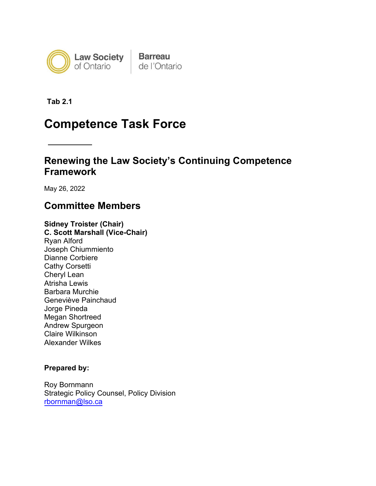

**Tab 2.1**

# **Competence Task Force**

## **Renewing the Law Society's Continuing Competence Framework**

May 26, 2022

## **Committee Members**

**Sidney Troister (Chair) C. Scott Marshall (Vice-Chair)** Ryan Alford Joseph Chiummiento Dianne Corbiere Cathy Corsetti Cheryl Lean Atrisha Lewis Barbara Murchie Geneviève Painchaud Jorge Pineda Megan Shortreed Andrew Spurgeon Claire Wilkinson Alexander Wilkes

### **Prepared by:**

Roy Bornmann Strategic Policy Counsel, Policy Division rbornman@lso.ca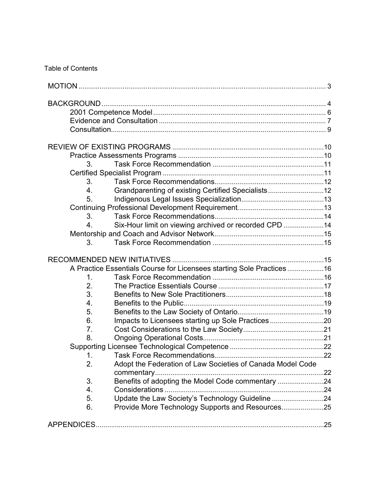### Table of Contents

| 3. |                                                                      |  |  |
|----|----------------------------------------------------------------------|--|--|
|    |                                                                      |  |  |
| 3. |                                                                      |  |  |
| 4. | Grandparenting of existing Certified Specialists12                   |  |  |
| 5. |                                                                      |  |  |
|    |                                                                      |  |  |
| 3. |                                                                      |  |  |
| 4. | Six-Hour limit on viewing archived or recorded CPD                   |  |  |
|    |                                                                      |  |  |
| 3. |                                                                      |  |  |
|    |                                                                      |  |  |
|    | A Practice Essentials Course for Licensees starting Sole Practices16 |  |  |
| 1. |                                                                      |  |  |
| 2. |                                                                      |  |  |
| 3. |                                                                      |  |  |
| 4. |                                                                      |  |  |
| 5. |                                                                      |  |  |
| 6. | Impacts to Licensees starting up Sole Practices 20                   |  |  |
| 7. |                                                                      |  |  |
| 8. |                                                                      |  |  |
|    |                                                                      |  |  |
| 1  |                                                                      |  |  |
| 2. |                                                                      |  |  |
|    | Adopt the Federation of Law Societies of Canada Model Code           |  |  |
| 3. | Benefits of adopting the Model Code commentary 24                    |  |  |
| 4. |                                                                      |  |  |
| 5. | Update the Law Society's Technology Guideline 24                     |  |  |
| 6. | Provide More Technology Supports and Resources25                     |  |  |
|    |                                                                      |  |  |
|    |                                                                      |  |  |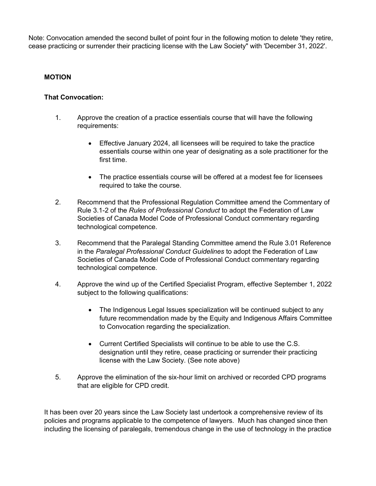Note: Convocation amended the second bullet of point four in the following motion to delete 'they retire, cease practicing or surrender their practicing license with the Law Society" with 'December 31, 2022'.

#### <span id="page-2-0"></span>**MOTION**

#### **That Convocation:**

- 1. Approve the creation of a practice essentials course that will have the following requirements:
	- Effective January 2024, all licensees will be required to take the practice essentials course within one year of designating as a sole practitioner for the first time.
	- The practice essentials course will be offered at a modest fee for licensees required to take the course.
- 2. Recommend that the Professional Regulation Committee amend the Commentary of Rule 3.1-2 of the *Rules of Professional Conduct* to adopt the Federation of Law Societies of Canada Model Code of Professional Conduct commentary regarding technological competence.
- 3. Recommend that the Paralegal Standing Committee amend the Rule 3.01 Reference in the *Paralegal Professional Conduct Guidelines* to adopt the Federation of Law Societies of Canada Model Code of Professional Conduct commentary regarding technological competence.
- 4. Approve the wind up of the Certified Specialist Program, effective September 1, 2022 subject to the following qualifications:
	- The Indigenous Legal Issues specialization will be continued subject to any future recommendation made by the Equity and Indigenous Affairs Committee to Convocation regarding the specialization.
	- Current Certified Specialists will continue to be able to use the C.S. designation until they retire, cease practicing or surrender their practicing license with the Law Society. (See note above)
- 5. Approve the elimination of the six-hour limit on archived or recorded CPD programs that are eligible for CPD credit.

It has been over 20 years since the Law Society last undertook a comprehensive review of its policies and programs applicable to the competence of lawyers. Much has changed since then including the licensing of paralegals, tremendous change in the use of technology in the practice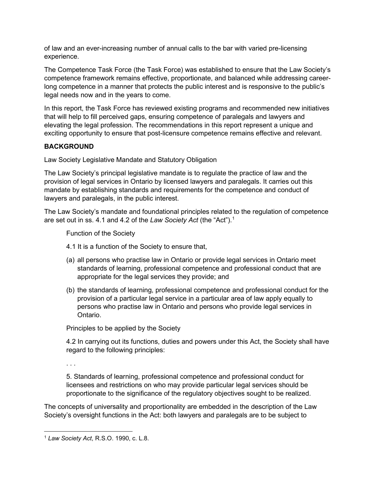of law and an ever-increasing number of annual calls to the bar with varied pre-licensing experience.

The Competence Task Force (the Task Force) was established to ensure that the Law Society's competence framework remains effective, proportionate, and balanced while addressing careerlong competence in a manner that protects the public interest and is responsive to the public's legal needs now and in the years to come.

In this report, the Task Force has reviewed existing programs and recommended new initiatives that will help to fill perceived gaps, ensuring competence of paralegals and lawyers and elevating the legal profession. The recommendations in this report represent a unique and exciting opportunity to ensure that post-licensure competence remains effective and relevant.

### <span id="page-3-0"></span>**BACKGROUND**

Law Society Legislative Mandate and Statutory Obligation

The Law Society's principal legislative mandate is to regulate the practice of law and the provision of legal services in Ontario by licensed lawyers and paralegals. It carries out this mandate by establishing standards and requirements for the competence and conduct of lawyers and paralegals, in the public interest.

The Law Society's mandate and foundational principles related to the regulation of competence are set out in ss. 4.1 and 4.2 of the *Law Society Act* (the "Act").[1](#page-3-1)

Function of the Society

- 4.1 It is a function of the Society to ensure that,
- (a) all persons who practise law in Ontario or provide legal services in Ontario meet standards of learning, professional competence and professional conduct that are appropriate for the legal services they provide; and
- (b) the standards of learning, professional competence and professional conduct for the provision of a particular legal service in a particular area of law apply equally to persons who practise law in Ontario and persons who provide legal services in Ontario.

Principles to be applied by the Society

4.2 In carrying out its functions, duties and powers under this Act, the Society shall have regard to the following principles:

. . .

5. Standards of learning, professional competence and professional conduct for licensees and restrictions on who may provide particular legal services should be proportionate to the significance of the regulatory objectives sought to be realized.

The concepts of universality and proportionality are embedded in the description of the Law Society's oversight functions in the Act: both lawyers and paralegals are to be subject to

<span id="page-3-1"></span><sup>1</sup> *Law Society Act*, R.S.O. 1990, c. L.8.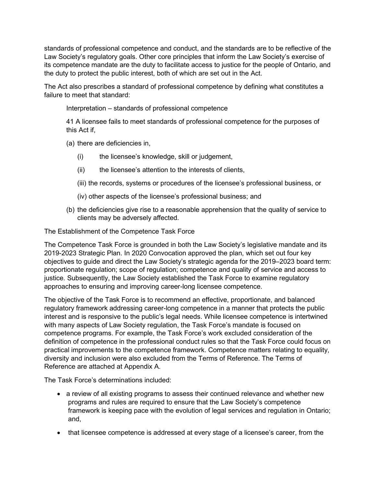standards of professional competence and conduct, and the standards are to be reflective of the Law Society's regulatory goals. Other core principles that inform the Law Society's exercise of its competence mandate are the duty to facilitate access to justice for the people of Ontario, and the duty to protect the public interest, both of which are set out in the Act.

The Act also prescribes a standard of professional competence by defining what constitutes a failure to meet that standard:

Interpretation – standards of professional competence

41 A licensee fails to meet standards of professional competence for the purposes of this Act if

(a) there are deficiencies in,

- (i) the licensee's knowledge, skill or judgement,
- (ii) the licensee's attention to the interests of clients,
- (iii) the records, systems or procedures of the licensee's professional business, or
- (iv) other aspects of the licensee's professional business; and
- (b) the deficiencies give rise to a reasonable apprehension that the quality of service to clients may be adversely affected.

The Establishment of the Competence Task Force

The Competence Task Force is grounded in both the Law Society's legislative mandate and its 2019-2023 Strategic Plan. In 2020 Convocation approved the plan, which set out four key objectives to guide and direct the Law Society's strategic agenda for the 2019–2023 board term: proportionate regulation; scope of regulation; competence and quality of service and access to justice. Subsequently, the Law Society established the Task Force to examine regulatory approaches to ensuring and improving career-long licensee competence.

The objective of the Task Force is to recommend an effective, proportionate, and balanced regulatory framework addressing career-long competence in a manner that protects the public interest and is responsive to the public's legal needs. While licensee competence is intertwined with many aspects of Law Society regulation, the Task Force's mandate is focused on competence programs. For example, the Task Force's work excluded consideration of the definition of competence in the professional conduct rules so that the Task Force could focus on practical improvements to the competence framework. Competence matters relating to equality, diversity and inclusion were also excluded from the Terms of Reference. The Terms of Reference are attached at Appendix A.

The Task Force's determinations included:

- a review of all existing programs to assess their continued relevance and whether new programs and rules are required to ensure that the Law Society's competence framework is keeping pace with the evolution of legal services and regulation in Ontario; and,
- that licensee competence is addressed at every stage of a licensee's career, from the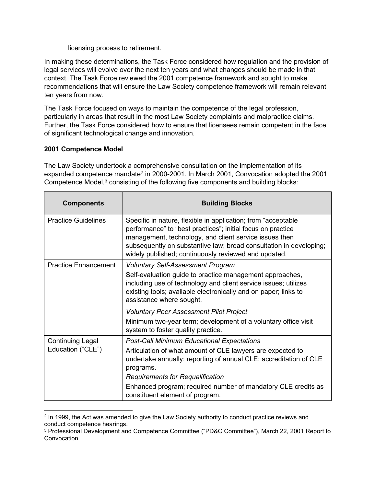licensing process to retirement.

In making these determinations, the Task Force considered how regulation and the provision of legal services will evolve over the next ten years and what changes should be made in that context. The Task Force reviewed the 2001 competence framework and sought to make recommendations that will ensure the Law Society competence framework will remain relevant ten years from now.

The Task Force focused on ways to maintain the competence of the legal profession, particularly in areas that result in the most Law Society complaints and malpractice claims. Further, the Task Force considered how to ensure that licensees remain competent in the face of significant technological change and innovation.

### <span id="page-5-0"></span>**2001 Competence Model**

The Law Society undertook a comprehensive consultation on the implementation of its expanded competence mandate<sup>[2](#page-5-1)</sup> in 2000-2001. In March 2001, Convocation adopted the 2001 Competence Model,<sup>[3](#page-5-2)</sup> consisting of the following five components and building blocks:

| <b>Components</b>           | <b>Building Blocks</b>                                                                                                                                                                                                                                                                                                |
|-----------------------------|-----------------------------------------------------------------------------------------------------------------------------------------------------------------------------------------------------------------------------------------------------------------------------------------------------------------------|
| <b>Practice Guidelines</b>  | Specific in nature, flexible in application; from "acceptable"<br>performance" to "best practices"; initial focus on practice<br>management, technology, and client service issues then<br>subsequently on substantive law; broad consultation in developing;<br>widely published; continuously reviewed and updated. |
| <b>Practice Enhancement</b> | <b>Voluntary Self-Assessment Program</b>                                                                                                                                                                                                                                                                              |
|                             | Self-evaluation guide to practice management approaches,<br>including use of technology and client service issues; utilizes<br>existing tools; available electronically and on paper; links to<br>assistance where sought.                                                                                            |
|                             | <b>Voluntary Peer Assessment Pilot Project</b>                                                                                                                                                                                                                                                                        |
|                             | Minimum two-year term; development of a voluntary office visit<br>system to foster quality practice.                                                                                                                                                                                                                  |
| <b>Continuing Legal</b>     | <b>Post-Call Minimum Educational Expectations</b>                                                                                                                                                                                                                                                                     |
| Education ("CLE")           | Articulation of what amount of CLE lawyers are expected to<br>undertake annually; reporting of annual CLE; accreditation of CLE<br>programs.                                                                                                                                                                          |
|                             | <b>Requirements for Requalification</b>                                                                                                                                                                                                                                                                               |
|                             | Enhanced program; required number of mandatory CLE credits as<br>constituent element of program.                                                                                                                                                                                                                      |

<span id="page-5-1"></span><sup>2</sup> In 1999, the Act was amended to give the Law Society authority to conduct practice reviews and conduct competence hearings.

<span id="page-5-2"></span><sup>3</sup> Professional Development and Competence Committee ("PD&C Committee"), March 22, 2001 Report to Convocation.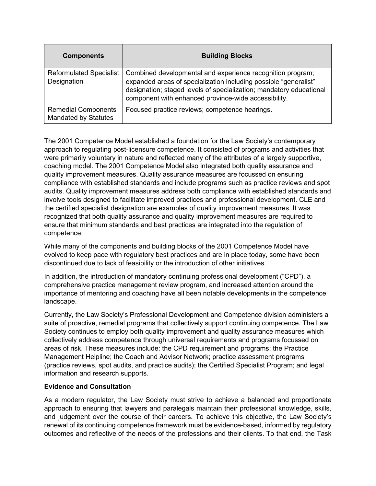| <b>Components</b>                                         | <b>Building Blocks</b>                                                                                                                                                                                                                                        |
|-----------------------------------------------------------|---------------------------------------------------------------------------------------------------------------------------------------------------------------------------------------------------------------------------------------------------------------|
| <b>Reformulated Specialist</b><br>Designation             | Combined developmental and experience recognition program;<br>expanded areas of specialization including possible "generalist"<br>designation; staged levels of specialization; mandatory educational<br>component with enhanced province-wide accessibility. |
| <b>Remedial Components</b><br><b>Mandated by Statutes</b> | Focused practice reviews; competence hearings.                                                                                                                                                                                                                |

The 2001 Competence Model established a foundation for the Law Society's contemporary approach to regulating post-licensure competence. It consisted of programs and activities that were primarily voluntary in nature and reflected many of the attributes of a largely supportive, coaching model. The 2001 Competence Model also integrated both quality assurance and quality improvement measures. Quality assurance measures are focussed on ensuring compliance with established standards and include programs such as practice reviews and spot audits. Quality improvement measures address both compliance with established standards and involve tools designed to facilitate improved practices and professional development. CLE and the certified specialist designation are examples of quality improvement measures. It was recognized that both quality assurance and quality improvement measures are required to ensure that minimum standards and best practices are integrated into the regulation of competence.

While many of the components and building blocks of the 2001 Competence Model have evolved to keep pace with regulatory best practices and are in place today, some have been discontinued due to lack of feasibility or the introduction of other initiatives.

In addition, the introduction of mandatory continuing professional development ("CPD"), a comprehensive practice management review program, and increased attention around the importance of mentoring and coaching have all been notable developments in the competence landscape.

Currently, the Law Society's Professional Development and Competence division administers a suite of proactive, remedial programs that collectively support continuing competence. The Law Society continues to employ both quality improvement and quality assurance measures which collectively address competence through universal requirements and programs focussed on areas of risk. These measures include: the CPD requirement and programs; the Practice Management Helpline; the Coach and Advisor Network; practice assessment programs (practice reviews, spot audits, and practice audits); the Certified Specialist Program; and legal information and research supports.

#### <span id="page-6-0"></span>**Evidence and Consultation**

As a modern regulator, the Law Society must strive to achieve a balanced and proportionate approach to ensuring that lawyers and paralegals maintain their professional knowledge, skills, and judgement over the course of their careers. To achieve this objective, the Law Society's renewal of its continuing competence framework must be evidence-based, informed by regulatory outcomes and reflective of the needs of the professions and their clients. To that end, the Task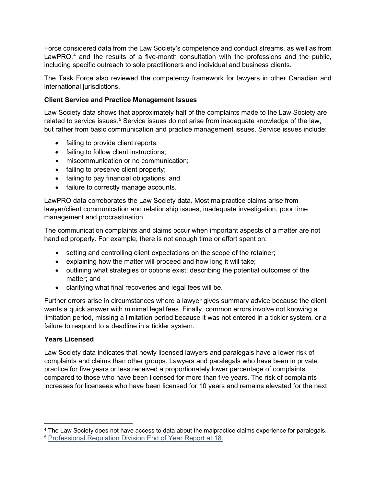Force considered data from the Law Society's competence and conduct streams, as well as from LawPRO, $4$  and the results of a five-month consultation with the professions and the public, including specific outreach to sole practitioners and individual and business clients.

The Task Force also reviewed the competency framework for lawyers in other Canadian and international jurisdictions.

### **Client Service and Practice Management Issues**

Law Society data shows that approximately half of the complaints made to the Law Society are related to service issues.<sup>[5](#page-7-1)</sup> Service issues do not arise from inadequate knowledge of the law, but rather from basic communication and practice management issues. Service issues include:

- failing to provide client reports;
- failing to follow client instructions;
- miscommunication or no communication;
- failing to preserve client property;
- failing to pay financial obligations; and
- failure to correctly manage accounts.

LawPRO data corroborates the Law Society data. Most malpractice claims arise from lawyer/client communication and relationship issues, inadequate investigation, poor time management and procrastination.

The communication complaints and claims occur when important aspects of a matter are not handled properly. For example, there is not enough time or effort spent on:

- setting and controlling client expectations on the scope of the retainer;
- explaining how the matter will proceed and how long it will take;
- outlining what strategies or options exist; describing the potential outcomes of the matter; and
- clarifying what final recoveries and legal fees will be.

Further errors arise in circumstances where a lawyer gives summary advice because the client wants a quick answer with minimal legal fees. Finally, common errors involve not knowing a limitation period, missing a limitation period because it was not entered in a tickler system, or a failure to respond to a deadline in a tickler system.

#### **Years Licensed**

Law Society data indicates that newly licensed lawyers and paralegals have a lower risk of complaints and claims than other groups. Lawyers and paralegals who have been in private practice for five years or less received a proportionately lower percentage of complaints compared to those who have been licensed for more than five years. The risk of complaints increases for licensees who have been licensed for 10 years and remains elevated for the next

<span id="page-7-0"></span><sup>&</sup>lt;sup>4</sup> The Law Society does not have access to data about the malpractice claims experience for paralegals.<br><sup>5</sup> Professional Regulation Division End of Year Report at 18.

<span id="page-7-1"></span>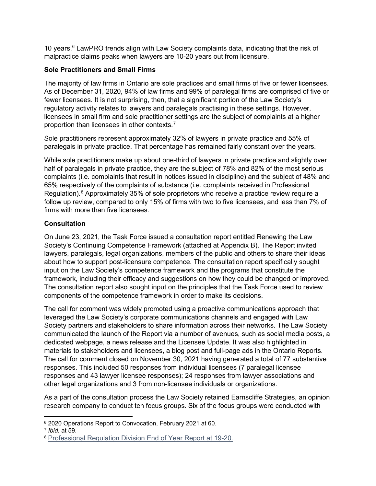10 years.<sup>[6](#page-8-1)</sup> LawPRO trends align with Law Society complaints data, indicating that the risk of malpractice claims peaks when lawyers are 10-20 years out from licensure.

### **Sole Practitioners and Small Firms**

The majority of law firms in Ontario are sole practices and small firms of five or fewer licensees. As of December 31, 2020, 94% of law firms and 99% of paralegal firms are comprised of five or fewer licensees. It is not surprising, then, that a significant portion of the Law Society's regulatory activity relates to lawyers and paralegals practising in these settings. However, licensees in small firm and sole practitioner settings are the subject of complaints at a higher proportion than licensees in other contexts.<sup>[7](#page-8-2)</sup>

Sole practitioners represent approximately 32% of lawyers in private practice and 55% of paralegals in private practice. That percentage has remained fairly constant over the years.

While sole practitioners make up about one-third of lawyers in private practice and slightly over half of paralegals in private practice, they are the subject of 78% and 82% of the most serious complaints (i.e. complaints that result in notices issued in discipline) and the subject of 48% and 65% respectively of the complaints of substance (i.e. complaints received in Professional Regulation).<sup>[8](#page-8-3)</sup> Approximately 35% of sole proprietors who receive a practice review require a follow up review, compared to only 15% of firms with two to five licensees, and less than 7% of firms with more than five licensees.

### <span id="page-8-0"></span>**Consultation**

On June 23, 2021, the Task Force issued a consultation report entitled Renewing the Law Society's Continuing Competence Framework (attached at Appendix B). The Report invited lawyers, paralegals, legal organizations, members of the public and others to share their ideas about how to support post-licensure competence. The consultation report specifically sought input on the Law Society's competence framework and the programs that constitute the framework, including their efficacy and suggestions on how they could be changed or improved. The consultation report also sought input on the principles that the Task Force used to review components of the competence framework in order to make its decisions.

The call for comment was widely promoted using a proactive communications approach that leveraged the Law Society's corporate communications channels and engaged with Law Society partners and stakeholders to share information across their networks. The Law Society communicated the launch of the Report via a number of avenues, such as social media posts, a dedicated webpage, a news release and the Licensee Update. It was also highlighted in materials to stakeholders and licensees, a blog post and full-page ads in the Ontario Reports. The call for comment closed on November 30, 2021 having generated a total of 77 substantive responses. This included 50 responses from individual licensees (7 paralegal licensee responses and 43 lawyer licensee responses); 24 responses from lawyer associations and other legal organizations and 3 from non-licensee individuals or organizations.

As a part of the consultation process the Law Society retained Earnscliffe Strategies, an opinion research company to conduct ten focus groups. Six of the focus groups were conducted with

<span id="page-8-1"></span><sup>6</sup> 2020 Operations Report to Convocation, February 2021 at 60.

<span id="page-8-2"></span><sup>7</sup> *Ibid.* at 59.

<span id="page-8-3"></span><sup>8</sup> [Professional Regulation Division End of Year Report at 19-20.](https://lawsocietyontario.azureedge.net/media/lso/media/about/convocation/2021/convocation-february-2021-prc-tab6.pdf)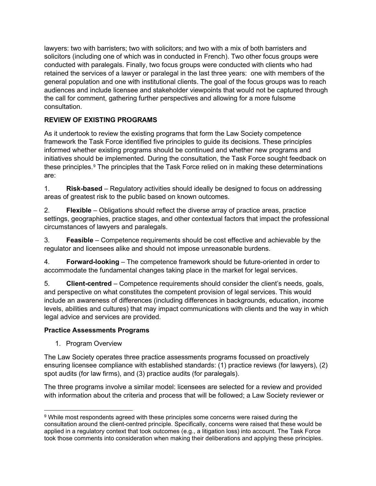lawyers: two with barristers; two with solicitors; and two with a mix of both barristers and solicitors (including one of which was in conducted in French). Two other focus groups were conducted with paralegals. Finally, two focus groups were conducted with clients who had retained the services of a lawyer or paralegal in the last three years: one with members of the general population and one with institutional clients. The goal of the focus groups was to reach audiences and include licensee and stakeholder viewpoints that would not be captured through the call for comment, gathering further perspectives and allowing for a more fulsome consultation.

### <span id="page-9-0"></span>**REVIEW OF EXISTING PROGRAMS**

As it undertook to review the existing programs that form the Law Society competence framework the Task Force identified five principles to guide its decisions. These principles informed whether existing programs should be continued and whether new programs and initiatives should be implemented. During the consultation, the Task Force sought feedback on these principles.[9](#page-9-2) The principles that the Task Force relied on in making these determinations are:

1. **Risk-based** – Regulatory activities should ideally be designed to focus on addressing areas of greatest risk to the public based on known outcomes.

2. **Flexible** – Obligations should reflect the diverse array of practice areas, practice settings, geographies, practice stages, and other contextual factors that impact the professional circumstances of lawyers and paralegals.

3. **Feasible** – Competence requirements should be cost effective and achievable by the regulator and licensees alike and should not impose unreasonable burdens.

4. **Forward-looking** – The competence framework should be future-oriented in order to accommodate the fundamental changes taking place in the market for legal services.

5. **Client-centred** – Competence requirements should consider the client's needs, goals, and perspective on what constitutes the competent provision of legal services. This would include an awareness of differences (including differences in backgrounds, education, income levels, abilities and cultures) that may impact communications with clients and the way in which legal advice and services are provided.

### <span id="page-9-1"></span>**Practice Assessments Programs**

1. Program Overview

The Law Society operates three practice assessments programs focussed on proactively ensuring licensee compliance with established standards: (1) practice reviews (for lawyers), (2) spot audits (for law firms), and (3) practice audits (for paralegals).

The three programs involve a similar model: licensees are selected for a review and provided with information about the criteria and process that will be followed; a Law Society reviewer or

<span id="page-9-2"></span><sup>9</sup> While most respondents agreed with these principles some concerns were raised during the consultation around the client-centred principle. Specifically, concerns were raised that these would be applied in a regulatory context that took outcomes (e.g., a litigation loss) into account. The Task Force took those comments into consideration when making their deliberations and applying these principles.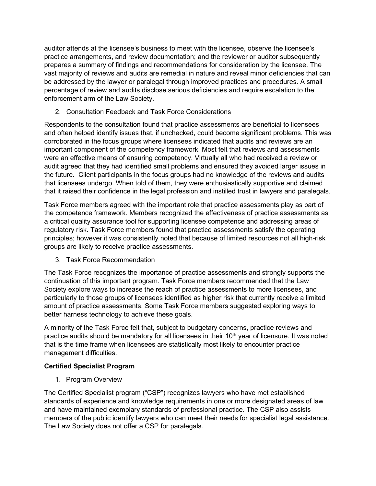auditor attends at the licensee's business to meet with the licensee, observe the licensee's practice arrangements, and review documentation; and the reviewer or auditor subsequently prepares a summary of findings and recommendations for consideration by the licensee. The vast majority of reviews and audits are remedial in nature and reveal minor deficiencies that can be addressed by the lawyer or paralegal through improved practices and procedures. A small percentage of review and audits disclose serious deficiencies and require escalation to the enforcement arm of the Law Society.

2. Consultation Feedback and Task Force Considerations

Respondents to the consultation found that practice assessments are beneficial to licensees and often helped identify issues that, if unchecked, could become significant problems. This was corroborated in the focus groups where licensees indicated that audits and reviews are an important component of the competency framework. Most felt that reviews and assessments were an effective means of ensuring competency. Virtually all who had received a review or audit agreed that they had identified small problems and ensured they avoided larger issues in the future. Client participants in the focus groups had no knowledge of the reviews and audits that licensees undergo. When told of them, they were enthusiastically supportive and claimed that it raised their confidence in the legal profession and instilled trust in lawyers and paralegals.

Task Force members agreed with the important role that practice assessments play as part of the competence framework. Members recognized the effectiveness of practice assessments as a critical quality assurance tool for supporting licensee competence and addressing areas of regulatory risk. Task Force members found that practice assessments satisfy the operating principles; however it was consistently noted that because of limited resources not all high-risk groups are likely to receive practice assessments.

<span id="page-10-0"></span>3. Task Force Recommendation

The Task Force recognizes the importance of practice assessments and strongly supports the continuation of this important program. Task Force members recommended that the Law Society explore ways to increase the reach of practice assessments to more licensees, and particularly to those groups of licensees identified as higher risk that currently receive a limited amount of practice assessments. Some Task Force members suggested exploring ways to better harness technology to achieve these goals.

A minority of the Task Force felt that, subject to budgetary concerns, practice reviews and practice audits should be mandatory for all licensees in their  $10<sup>th</sup>$  year of licensure. It was noted that is the time frame when licensees are statistically most likely to encounter practice management difficulties.

### <span id="page-10-1"></span>**Certified Specialist Program**

1. Program Overview

The Certified Specialist program ("CSP") recognizes lawyers who have met established standards of experience and knowledge requirements in one or more designated areas of law and have maintained exemplary standards of professional practice. The CSP also assists members of the public identify lawyers who can meet their needs for specialist legal assistance. The Law Society does not offer a CSP for paralegals.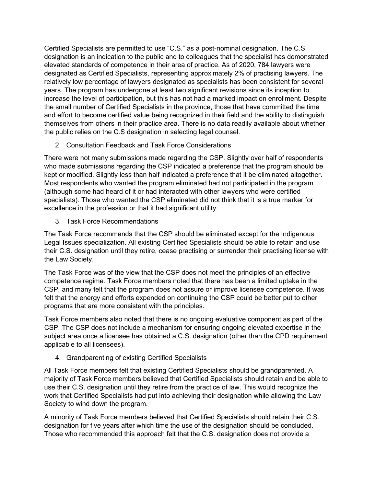Certified Specialists are permitted to use "C.S." as a post-nominal designation. The C.S. designation is an indication to the public and to colleagues that the specialist has demonstrated elevated standards of competence in their area of practice. As of 2020, 784 lawyers were designated as Certified Specialists, representing approximately 2% of practising lawyers. The relatively low percentage of lawyers designated as specialists has been consistent for several years. The program has undergone at least two significant revisions since its inception to increase the level of participation, but this has not had a marked impact on enrollment. Despite the small number of Certified Specialists in the province, those that have committed the time and effort to become certified value being recognized in their field and the ability to distinguish themselves from others in their practice area. There is no data readily available about whether the public relies on the C.S designation in selecting legal counsel.

2. Consultation Feedback and Task Force Considerations

There were not many submissions made regarding the CSP. Slightly over half of respondents who made submissions regarding the CSP indicated a preference that the program should be kept or modified. Slightly less than half indicated a preference that it be eliminated altogether. Most respondents who wanted the program eliminated had not participated in the program (although some had heard of it or had interacted with other lawyers who were certified specialists). Those who wanted the CSP eliminated did not think that it is a true marker for excellence in the profession or that it had significant utility.

<span id="page-11-0"></span>3. Task Force Recommendations

The Task Force recommends that the CSP should be eliminated except for the Indigenous Legal Issues specialization. All existing Certified Specialists should be able to retain and use their C.S. designation until they retire, cease practising or surrender their practising license with the Law Society.

The Task Force was of the view that the CSP does not meet the principles of an effective competence regime. Task Force members noted that there has been a limited uptake in the CSP, and many felt that the program does not assure or improve licensee competence. It was felt that the energy and efforts expended on continuing the CSP could be better put to other programs that are more consistent with the principles.

Task Force members also noted that there is no ongoing evaluative component as part of the CSP. The CSP does not include a mechanism for ensuring ongoing elevated expertise in the subject area once a licensee has obtained a C.S. designation (other than the CPD requirement applicable to all licensees).

<span id="page-11-1"></span>4. Grandparenting of existing Certified Specialists

All Task Force members felt that existing Certified Specialists should be grandparented. A majority of Task Force members believed that Certified Specialists should retain and be able to use their C.S. designation until they retire from the practice of law. This would recognize the work that Certified Specialists had put into achieving their designation while allowing the Law Society to wind down the program.

A minority of Task Force members believed that Certified Specialists should retain their C.S. designation for five years after which time the use of the designation should be concluded. Those who recommended this approach felt that the C.S. designation does not provide a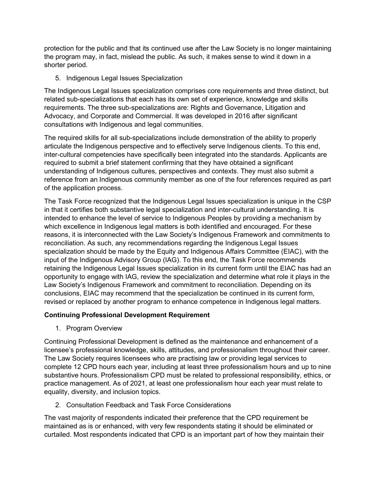protection for the public and that its continued use after the Law Society is no longer maintaining the program may, in fact, mislead the public. As such, it makes sense to wind it down in a shorter period.

<span id="page-12-0"></span>5. Indigenous Legal Issues Specialization

The Indigenous Legal Issues specialization comprises core requirements and three distinct, but related sub-specializations that each has its own set of experience, knowledge and skills requirements. The three sub-specializations are: Rights and Governance, Litigation and Advocacy, and Corporate and Commercial. It was developed in 2016 after significant consultations with Indigenous and legal communities.

The required skills for all sub-specializations include demonstration of the ability to properly articulate the Indigenous perspective and to effectively serve Indigenous clients. To this end, inter-cultural competencies have specifically been integrated into the standards. Applicants are required to submit a brief statement confirming that they have obtained a significant understanding of Indigenous cultures, perspectives and contexts. They must also submit a reference from an Indigenous community member as one of the four references required as part of the application process.

The Task Force recognized that the Indigenous Legal Issues specialization is unique in the CSP in that it certifies both substantive legal specialization and inter-cultural understanding. It is intended to enhance the level of service to Indigenous Peoples by providing a mechanism by which excellence in Indigenous legal matters is both identified and encouraged. For these reasons, it is interconnected with the Law Society's Indigenous Framework and commitments to reconciliation. As such, any recommendations regarding the Indigenous Legal Issues specialization should be made by the Equity and Indigenous Affairs Committee (EIAC), with the input of the Indigenous Advisory Group (IAG). To this end, the Task Force recommends retaining the Indigenous Legal Issues specialization in its current form until the EIAC has had an opportunity to engage with IAG, review the specialization and determine what role it plays in the Law Society's Indigenous Framework and commitment to reconciliation. Depending on its conclusions, EIAC may recommend that the specialization be continued in its current form, revised or replaced by another program to enhance competence in Indigenous legal matters.

### <span id="page-12-1"></span>**Continuing Professional Development Requirement**

1. Program Overview

Continuing Professional Development is defined as the maintenance and enhancement of a licensee's professional knowledge, skills, attitudes, and professionalism throughout their career. The Law Society requires licensees who are practising law or providing legal services to complete 12 CPD hours each year, including at least three professionalism hours and up to nine substantive hours. Professionalism CPD must be related to professional responsibility, ethics, or practice management. As of 2021, at least one professionalism hour each year must relate to equality, diversity, and inclusion topics.

2. Consultation Feedback and Task Force Considerations

The vast majority of respondents indicated their preference that the CPD requirement be maintained as is or enhanced, with very few respondents stating it should be eliminated or curtailed. Most respondents indicated that CPD is an important part of how they maintain their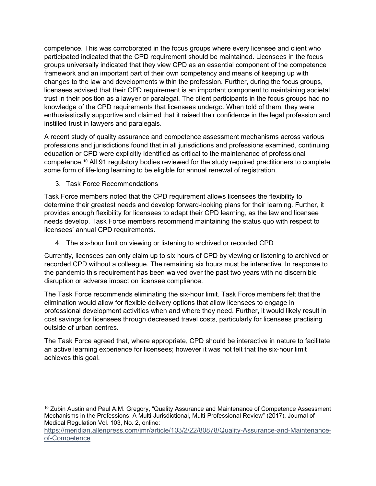competence. This was corroborated in the focus groups where every licensee and client who participated indicated that the CPD requirement should be maintained. Licensees in the focus groups universally indicated that they view CPD as an essential component of the competence framework and an important part of their own competency and means of keeping up with changes to the law and developments within the profession. Further, during the focus groups, licensees advised that their CPD requirement is an important component to maintaining societal trust in their position as a lawyer or paralegal. The client participants in the focus groups had no knowledge of the CPD requirements that licensees undergo. When told of them, they were enthusiastically supportive and claimed that it raised their confidence in the legal profession and instilled trust in lawyers and paralegals.

A recent study of quality assurance and competence assessment mechanisms across various professions and jurisdictions found that in all jurisdictions and professions examined, continuing education or CPD were explicitly identified as critical to the maintenance of professional competence[.10](#page-13-2) All 91 regulatory bodies reviewed for the study required practitioners to complete some form of life-long learning to be eligible for annual renewal of registration.

<span id="page-13-0"></span>3. Task Force Recommendations

Task Force members noted that the CPD requirement allows licensees the flexibility to determine their greatest needs and develop forward-looking plans for their learning. Further, it provides enough flexibility for licensees to adapt their CPD learning, as the law and licensee needs develop. Task Force members recommend maintaining the status quo with respect to licensees' annual CPD requirements.

<span id="page-13-1"></span>4. The six-hour limit on viewing or listening to archived or recorded CPD

Currently, licensees can only claim up to six hours of CPD by viewing or listening to archived or recorded CPD without a colleague. The remaining six hours must be interactive. In response to the pandemic this requirement has been waived over the past two years with no discernible disruption or adverse impact on licensee compliance.

The Task Force recommends eliminating the six-hour limit. Task Force members felt that the elimination would allow for flexible delivery options that allow licensees to engage in professional development activities when and where they need. Further, it would likely result in cost savings for licensees through decreased travel costs, particularly for licensees practising outside of urban centres.

The Task Force agreed that, where appropriate, CPD should be interactive in nature to facilitate an active learning experience for licensees; however it was not felt that the six-hour limit achieves this goal.

<span id="page-13-2"></span><sup>&</sup>lt;sup>10</sup> Zubin Austin and Paul A.M. Gregory, "Quality Assurance and Maintenance of Competence Assessment Mechanisms in the Professions: A Multi-Jurisdictional, Multi-Professional Review" (2017), Journal of Medical Regulation Vol. 103, No. 2, online:

[https://meridian.allenpress.com/jmr/article/103/2/22/80878/Quality-Assurance-and-Maintenance](https://meridian.allenpress.com/jmr/article/103/2/22/80878/Quality-Assurance-and-Maintenance-of-Competence)[of-Competence.](https://meridian.allenpress.com/jmr/article/103/2/22/80878/Quality-Assurance-and-Maintenance-of-Competence).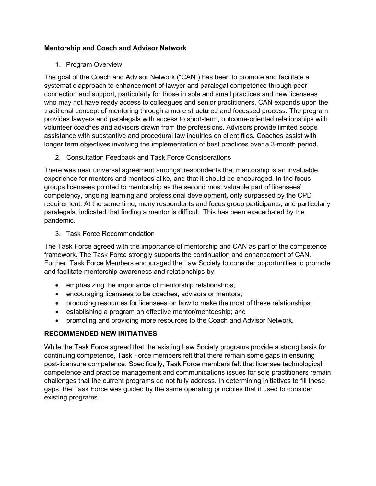### <span id="page-14-0"></span>**Mentorship and Coach and Advisor Network**

### 1. Program Overview

The goal of the Coach and Advisor Network ("CAN") has been to promote and facilitate a systematic approach to enhancement of lawyer and paralegal competence through peer connection and support, particularly for those in sole and small practices and new licensees who may not have ready access to colleagues and senior practitioners. CAN expands upon the traditional concept of mentoring through a more structured and focussed process. The program provides lawyers and paralegals with access to short-term, outcome-oriented relationships with volunteer coaches and advisors drawn from the professions. Advisors provide limited scope assistance with substantive and procedural law inquiries on client files. Coaches assist with longer term objectives involving the implementation of best practices over a 3-month period.

2. Consultation Feedback and Task Force Considerations

There was near universal agreement amongst respondents that mentorship is an invaluable experience for mentors and mentees alike, and that it should be encouraged. In the focus groups licensees pointed to mentorship as the second most valuable part of licensees' competency, ongoing learning and professional development, only surpassed by the CPD requirement. At the same time, many respondents and focus group participants, and particularly paralegals, indicated that finding a mentor is difficult. This has been exacerbated by the pandemic.

<span id="page-14-1"></span>3. Task Force Recommendation

The Task Force agreed with the importance of mentorship and CAN as part of the competence framework. The Task Force strongly supports the continuation and enhancement of CAN. Further, Task Force Members encouraged the Law Society to consider opportunities to promote and facilitate mentorship awareness and relationships by:

- emphasizing the importance of mentorship relationships;
- encouraging licensees to be coaches, advisors or mentors;
- producing resources for licensees on how to make the most of these relationships;
- establishing a program on effective mentor/menteeship; and
- promoting and providing more resources to the Coach and Advisor Network.

### <span id="page-14-2"></span>**RECOMMENDED NEW INITIATIVES**

While the Task Force agreed that the existing Law Society programs provide a strong basis for continuing competence, Task Force members felt that there remain some gaps in ensuring post-licensure competence. Specifically, Task Force members felt that licensee technological competence and practice management and communications issues for sole practitioners remain challenges that the current programs do not fully address. In determining initiatives to fill these gaps, the Task Force was guided by the same operating principles that it used to consider existing programs.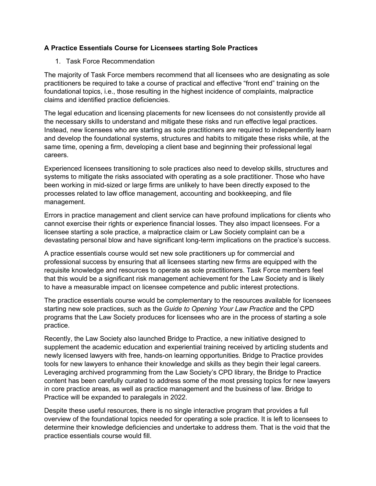### <span id="page-15-0"></span>**A Practice Essentials Course for Licensees starting Sole Practices**

<span id="page-15-1"></span>1. Task Force Recommendation

The majority of Task Force members recommend that all licensees who are designating as sole practitioners be required to take a course of practical and effective "front end" training on the foundational topics, i.e., those resulting in the highest incidence of complaints, malpractice claims and identified practice deficiencies.

The legal education and licensing placements for new licensees do not consistently provide all the necessary skills to understand and mitigate these risks and run effective legal practices. Instead, new licensees who are starting as sole practitioners are required to independently learn and develop the foundational systems, structures and habits to mitigate these risks while, at the same time, opening a firm, developing a client base and beginning their professional legal careers.

Experienced licensees transitioning to sole practices also need to develop skills, structures and systems to mitigate the risks associated with operating as a sole practitioner. Those who have been working in mid-sized or large firms are unlikely to have been directly exposed to the processes related to law office management, accounting and bookkeeping, and file management.

Errors in practice management and client service can have profound implications for clients who cannot exercise their rights or experience financial losses. They also impact licensees. For a licensee starting a sole practice, a malpractice claim or Law Society complaint can be a devastating personal blow and have significant long-term implications on the practice's success.

A practice essentials course would set new sole practitioners up for commercial and professional success by ensuring that all licensees starting new firms are equipped with the requisite knowledge and resources to operate as sole practitioners. Task Force members feel that this would be a significant risk management achievement for the Law Society and is likely to have a measurable impact on licensee competence and public interest protections.

The practice essentials course would be complementary to the resources available for licensees starting new sole practices, such as the *Guide to Opening Your Law Practice* and the CPD programs that the Law Society produces for licensees who are in the process of starting a sole practice.

Recently, the Law Society also launched Bridge to Practice, a new initiative designed to supplement the academic education and experiential training received by articling students and newly licensed lawyers with free, hands-on learning opportunities. Bridge to Practice provides tools for new lawyers to enhance their knowledge and skills as they begin their legal careers. Leveraging archived programming from the Law Society's CPD library, the Bridge to Practice content has been carefully curated to address some of the most pressing topics for new lawyers in core practice areas, as well as practice management and the business of law. Bridge to Practice will be expanded to paralegals in 2022.

Despite these useful resources, there is no single interactive program that provides a full overview of the foundational topics needed for operating a sole practice. It is left to licensees to determine their knowledge deficiencies and undertake to address them. That is the void that the practice essentials course would fill.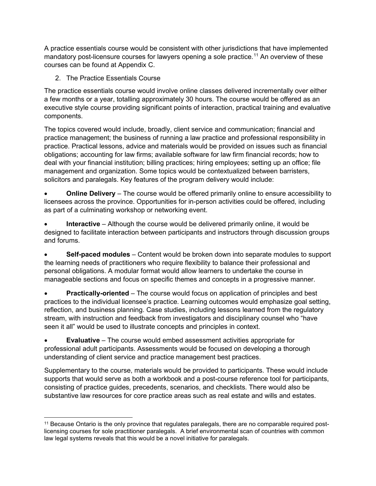A practice essentials course would be consistent with other jurisdictions that have implemented mandatory post-licensure courses for lawyers opening a sole practice. [11](#page-16-1) An overview of these courses can be found at Appendix C.

<span id="page-16-0"></span>2. The Practice Essentials Course

The practice essentials course would involve online classes delivered incrementally over either a few months or a year, totalling approximately 30 hours. The course would be offered as an executive style course providing significant points of interaction, practical training and evaluative components.

The topics covered would include, broadly, client service and communication; financial and practice management; the business of running a law practice and professional responsibility in practice. Practical lessons, advice and materials would be provided on issues such as financial obligations; accounting for law firms; available software for law firm financial records; how to deal with your financial institution; billing practices; hiring employees; setting up an office; file management and organization. Some topics would be contextualized between barristers, solicitors and paralegals. Key features of the program delivery would include:

• **Online Delivery** – The course would be offered primarily online to ensure accessibility to licensees across the province. Opportunities for in-person activities could be offered, including as part of a culminating workshop or networking event.

• **Interactive** – Although the course would be delivered primarily online, it would be designed to facilitate interaction between participants and instructors through discussion groups and forums.

• **Self-paced modules** – Content would be broken down into separate modules to support the learning needs of practitioners who require flexibility to balance their professional and personal obligations. A modular format would allow learners to undertake the course in manageable sections and focus on specific themes and concepts in a progressive manner.

• **Practically-oriented** – The course would focus on application of principles and best practices to the individual licensee's practice. Learning outcomes would emphasize goal setting, reflection, and business planning. Case studies, including lessons learned from the regulatory stream, with instruction and feedback from investigators and disciplinary counsel who "have seen it all" would be used to illustrate concepts and principles in context.

• **Evaluative** – The course would embed assessment activities appropriate for professional adult participants. Assessments would be focused on developing a thorough understanding of client service and practice management best practices.

Supplementary to the course, materials would be provided to participants. These would include supports that would serve as both a workbook and a post-course reference tool for participants, consisting of practice guides, precedents, scenarios, and checklists. There would also be substantive law resources for core practice areas such as real estate and wills and estates.

<span id="page-16-1"></span><sup>&</sup>lt;sup>11</sup> Because Ontario is the only province that regulates paralegals, there are no comparable required postlicensing courses for sole practitioner paralegals. A brief environmental scan of countries with common law legal systems reveals that this would be a novel initiative for paralegals.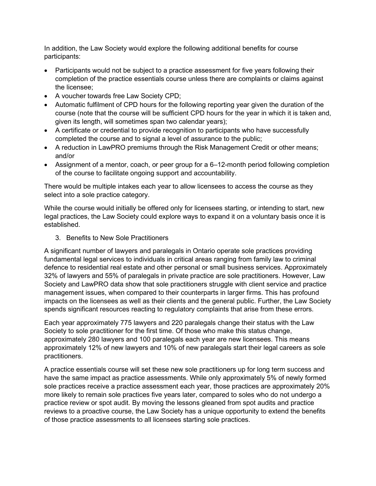In addition, the Law Society would explore the following additional benefits for course participants:

- Participants would not be subject to a practice assessment for five years following their completion of the practice essentials course unless there are complaints or claims against the licensee;
- A voucher towards free Law Society CPD;
- Automatic fulfilment of CPD hours for the following reporting year given the duration of the course (note that the course will be sufficient CPD hours for the year in which it is taken and, given its length, will sometimes span two calendar years);
- A certificate or credential to provide recognition to participants who have successfully completed the course and to signal a level of assurance to the public;
- A reduction in LawPRO premiums through the Risk Management Credit or other means; and/or
- Assignment of a mentor, coach, or peer group for a 6–12-month period following completion of the course to facilitate ongoing support and accountability.

There would be multiple intakes each year to allow licensees to access the course as they select into a sole practice category.

While the course would initially be offered only for licensees starting, or intending to start, new legal practices, the Law Society could explore ways to expand it on a voluntary basis once it is established.

<span id="page-17-0"></span>3. Benefits to New Sole Practitioners

A significant number of lawyers and paralegals in Ontario operate sole practices providing fundamental legal services to individuals in critical areas ranging from family law to criminal defence to residential real estate and other personal or small business services. Approximately 32% of lawyers and 55% of paralegals in private practice are sole practitioners. However, Law Society and LawPRO data show that sole practitioners struggle with client service and practice management issues, when compared to their counterparts in larger firms. This has profound impacts on the licensees as well as their clients and the general public. Further, the Law Society spends significant resources reacting to regulatory complaints that arise from these errors.

Each year approximately 775 lawyers and 220 paralegals change their status with the Law Society to sole practitioner for the first time. Of those who make this status change, approximately 280 lawyers and 100 paralegals each year are new licensees. This means approximately 12% of new lawyers and 10% of new paralegals start their legal careers as sole practitioners.

A practice essentials course will set these new sole practitioners up for long term success and have the same impact as practice assessments. While only approximately 5% of newly formed sole practices receive a practice assessment each year, those practices are approximately 20% more likely to remain sole practices five years later, compared to soles who do not undergo a practice review or spot audit. By moving the lessons gleaned from spot audits and practice reviews to a proactive course, the Law Society has a unique opportunity to extend the benefits of those practice assessments to all licensees starting sole practices.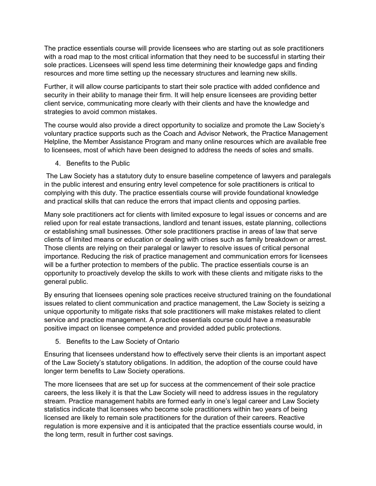The practice essentials course will provide licensees who are starting out as sole practitioners with a road map to the most critical information that they need to be successful in starting their sole practices. Licensees will spend less time determining their knowledge gaps and finding resources and more time setting up the necessary structures and learning new skills.

Further, it will allow course participants to start their sole practice with added confidence and security in their ability to manage their firm. It will help ensure licensees are providing better client service, communicating more clearly with their clients and have the knowledge and strategies to avoid common mistakes.

The course would also provide a direct opportunity to socialize and promote the Law Society's voluntary practice supports such as the Coach and Advisor Network, the Practice Management Helpline, the Member Assistance Program and many online resources which are available free to licensees, most of which have been designed to address the needs of soles and smalls.

<span id="page-18-0"></span>4. Benefits to the Public

The Law Society has a statutory duty to ensure baseline competence of lawyers and paralegals in the public interest and ensuring entry level competence for sole practitioners is critical to complying with this duty. The practice essentials course will provide foundational knowledge and practical skills that can reduce the errors that impact clients and opposing parties.

Many sole practitioners act for clients with limited exposure to legal issues or concerns and are relied upon for real estate transactions, landlord and tenant issues, estate planning, collections or establishing small businesses. Other sole practitioners practise in areas of law that serve clients of limited means or education or dealing with crises such as family breakdown or arrest. Those clients are relying on their paralegal or lawyer to resolve issues of critical personal importance. Reducing the risk of practice management and communication errors for licensees will be a further protection to members of the public. The practice essentials course is an opportunity to proactively develop the skills to work with these clients and mitigate risks to the general public.

By ensuring that licensees opening sole practices receive structured training on the foundational issues related to client communication and practice management, the Law Society is seizing a unique opportunity to mitigate risks that sole practitioners will make mistakes related to client service and practice management. A practice essentials course could have a measurable positive impact on licensee competence and provided added public protections.

<span id="page-18-1"></span>5. Benefits to the Law Society of Ontario

Ensuring that licensees understand how to effectively serve their clients is an important aspect of the Law Society's statutory obligations. In addition, the adoption of the course could have longer term benefits to Law Society operations.

The more licensees that are set up for success at the commencement of their sole practice careers, the less likely it is that the Law Society will need to address issues in the regulatory stream. Practice management habits are formed early in one's legal career and Law Society statistics indicate that licensees who become sole practitioners within two years of being licensed are likely to remain sole practitioners for the duration of their careers. Reactive regulation is more expensive and it is anticipated that the practice essentials course would, in the long term, result in further cost savings.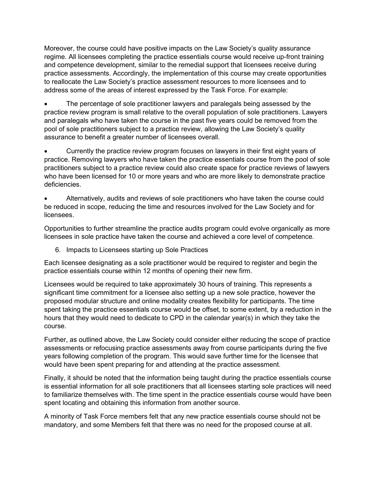Moreover, the course could have positive impacts on the Law Society's quality assurance regime. All licensees completing the practice essentials course would receive up-front training and competence development, similar to the remedial support that licensees receive during practice assessments. Accordingly, the implementation of this course may create opportunities to reallocate the Law Society's practice assessment resources to more licensees and to address some of the areas of interest expressed by the Task Force. For example:

• The percentage of sole practitioner lawyers and paralegals being assessed by the practice review program is small relative to the overall population of sole practitioners. Lawyers and paralegals who have taken the course in the past five years could be removed from the pool of sole practitioners subject to a practice review, allowing the Law Society's quality assurance to benefit a greater number of licensees overall.

• Currently the practice review program focuses on lawyers in their first eight years of practice. Removing lawyers who have taken the practice essentials course from the pool of sole practitioners subject to a practice review could also create space for practice reviews of lawyers who have been licensed for 10 or more years and who are more likely to demonstrate practice deficiencies.

• Alternatively, audits and reviews of sole practitioners who have taken the course could be reduced in scope, reducing the time and resources involved for the Law Society and for licensees.

Opportunities to further streamline the practice audits program could evolve organically as more licensees in sole practice have taken the course and achieved a core level of competence.

<span id="page-19-0"></span>6. Impacts to Licensees starting up Sole Practices

Each licensee designating as a sole practitioner would be required to register and begin the practice essentials course within 12 months of opening their new firm.

Licensees would be required to take approximately 30 hours of training. This represents a significant time commitment for a licensee also setting up a new sole practice, however the proposed modular structure and online modality creates flexibility for participants. The time spent taking the practice essentials course would be offset, to some extent, by a reduction in the hours that they would need to dedicate to CPD in the calendar year(s) in which they take the course.

Further, as outlined above, the Law Society could consider either reducing the scope of practice assessments or refocusing practice assessments away from course participants during the five years following completion of the program. This would save further time for the licensee that would have been spent preparing for and attending at the practice assessment.

Finally, it should be noted that the information being taught during the practice essentials course is essential information for all sole practitioners that all licensees starting sole practices will need to familiarize themselves with. The time spent in the practice essentials course would have been spent locating and obtaining this information from another source.

A minority of Task Force members felt that any new practice essentials course should not be mandatory, and some Members felt that there was no need for the proposed course at all.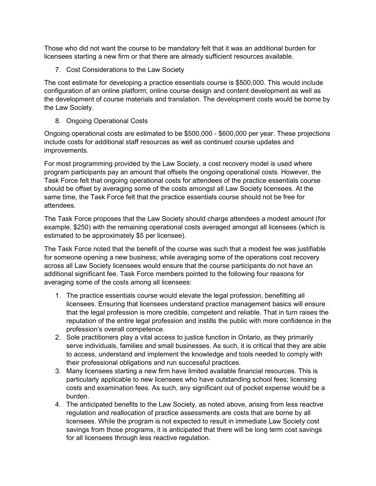Those who did not want the course to be mandatory felt that it was an additional burden for licensees starting a new firm or that there are already sufficient resources available.

<span id="page-20-0"></span>7. Cost Considerations to the Law Society

The cost estimate for developing a practice essentials course is \$500,000. This would include configuration of an online platform; online course design and content development as well as the development of course materials and translation. The development costs would be borne by the Law Society.

<span id="page-20-1"></span>8. Ongoing Operational Costs

Ongoing operational costs are estimated to be \$500,000 - \$600,000 per year. These projections include costs for additional staff resources as well as continued course updates and improvements.

For most programming provided by the Law Society, a cost recovery model is used where program participants pay an amount that offsets the ongoing operational costs. However, the Task Force felt that ongoing operational costs for attendees of the practice essentials course should be offset by averaging some of the costs amongst all Law Society licensees. At the same time, the Task Force felt that the practice essentials course should not be free for attendees.

The Task Force proposes that the Law Society should charge attendees a modest amount (for example, \$250) with the remaining operational costs averaged amongst all licensees (which is estimated to be approximately \$5 per licensee).

The Task Force noted that the benefit of the course was such that a modest fee was justifiable for someone opening a new business; while averaging some of the operations cost recovery across all Law Society licensees would ensure that the course participants do not have an additional significant fee. Task Force members pointed to the following four reasons for averaging some of the costs among all licensees:

- 1. The practice essentials course would elevate the legal profession, benefitting all licensees. Ensuring that licensees understand practice management basics will ensure that the legal profession is more credible, competent and reliable. That in turn raises the reputation of the entire legal profession and instills the public with more confidence in the profession's overall competence.
- 2. Sole practitioners play a vital access to justice function in Ontario, as they primarily serve individuals, families and small businesses. As such, it is critical that they are able to access, understand and implement the knowledge and tools needed to comply with their professional obligations and run successful practices.
- 3. Many licensees starting a new firm have limited available financial resources. This is particularly applicable to new licensees who have outstanding school fees; licensing costs and examination fees. As such, any significant out of pocket expense would be a burden.
- 4. The anticipated benefits to the Law Society, as noted above, arising from less reactive regulation and reallocation of practice assessments are costs that are borne by all licensees. While the program is not expected to result in immediate Law Society cost savings from those programs, it is anticipated that there will be long term cost savings for all licensees through less reactive regulation.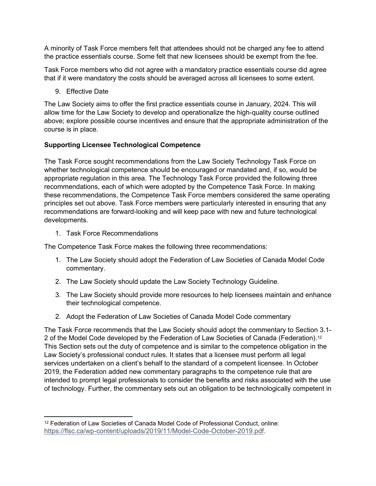A minority of Task Force members felt that attendees should not be charged any fee to attend the practice essentials course. Some felt that new licensees should be exempt from the fee.

Task Force members who did not agree with a mandatory practice essentials course did agree that if it were mandatory the costs should be averaged across all licensees to some extent.

9. Effective Date

<span id="page-21-0"></span>The Law Society aims to offer the first practice essentials course in January, 2024. This will allow time for the Law Society to develop and operationalize the high-quality course outlined above; explore possible course incentives and ensure that the appropriate administration of the course is in place.

### **Supporting Licensee Technological Competence**

The Task Force sought recommendations from the Law Society Technology Task Force on whether technological competence should be encouraged or mandated and, if so, would be appropriate regulation in this area. The Technology Task Force provided the following three recommendations, each of which were adopted by the Competence Task Force. In making these recommendations, the Competence Task Force members considered the same operating principles set out above. Task Force members were particularly interested in ensuring that any recommendations are forward-looking and will keep pace with new and future technological developments.

<span id="page-21-1"></span>1. Task Force Recommendations

The Competence Task Force makes the following three recommendations:

- 1. The Law Society should adopt the Federation of Law Societies of Canada Model Code commentary.
- 2. The Law Society should update the Law Society Technology Guideline.
- 3. The Law Society should provide more resources to help licensees maintain and enhance their technological competence.
- <span id="page-21-2"></span>2. Adopt the Federation of Law Societies of Canada Model Code commentary

The Task Force recommends that the Law Society should adopt the commentary to Section 3.1- 2 of the Model Code developed by the Federation of Law Societies of Canada (Federation).<sup>[12](#page-21-3)</sup> This Section sets out the duty of competence and is similar to the competence obligation in the Law Society's professional conduct rules. It states that a licensee must perform all legal services undertaken on a client's behalf to the standard of a competent licensee. In October 2019, the Federation added new commentary paragraphs to the competence rule that are intended to prompt legal professionals to consider the benefits and risks associated with the use of technology. Further, the commentary sets out an obligation to be technologically competent in

<span id="page-21-3"></span><sup>12</sup> Federation of Law Societies of Canada Model Code of Professional Conduct, online: [https://flsc.ca/wp-content/uploads/2019/11/Model-Code-October-2019.pdf.](https://flsc.ca/wp-content/uploads/2019/11/Model-Code-October-2019.pdf)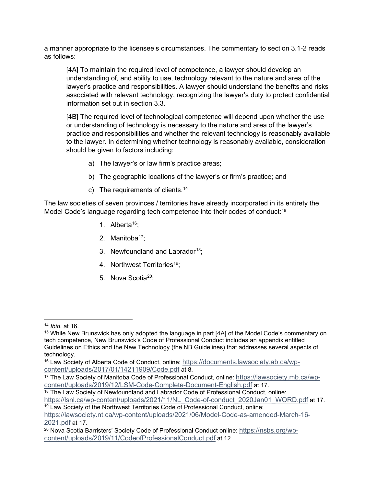a manner appropriate to the licensee's circumstances. The commentary to section 3.1-2 reads as follows:

[4A] To maintain the required level of competence, a lawyer should develop an understanding of, and ability to use, technology relevant to the nature and area of the lawyer's practice and responsibilities. A lawyer should understand the benefits and risks associated with relevant technology, recognizing the lawyer's duty to protect confidential information set out in section 3.3.

[4B] The required level of technological competence will depend upon whether the use or understanding of technology is necessary to the nature and area of the lawyer's practice and responsibilities and whether the relevant technology is reasonably available to the lawyer. In determining whether technology is reasonably available, consideration should be given to factors including:

- a) The lawyer's or law firm's practice areas;
- b) The geographic locations of the lawyer's or firm's practice; and
- c) The requirements of clients.<sup>[14](#page-22-0)</sup>

The law societies of seven provinces / territories have already incorporated in its entirety the Model Code's language regarding tech competence into their codes of conduct:<sup>[15](#page-22-1)</sup>

- 1. Alberta<sup>[16](#page-22-2)</sup>:
- 2. Manitoba $17$ ;
- 3. Newfoundland and Labrador<sup>[18](#page-22-4)</sup>;
- 4. Northwest Territories<sup>[19](#page-22-5)</sup>;
- 5. Nova Scotia<sup>20</sup>:

<span id="page-22-4"></span><sup>18</sup> The Law Society of Newfoundland and Labrador Code of Professional Conduct, online: https://lsnl.ca/wp-content/uploads/2021/11/NL Code-of-conduct\_2020Jan01\_WORD.pdf at 17. <sup>19</sup> Law Society of the Northwest Territories Code of Professional Conduct, online:

<span id="page-22-1"></span><span id="page-22-0"></span><sup>&</sup>lt;sup>14</sup> *Ibid.* at 16.<br><sup>15</sup> While New Brunswick has only adopted the language in part [4A] of the Model Code's commentary on tech competence, New Brunswick's Code of Professional Conduct includes an appendix entitled Guidelines on Ethics and the New Technology (the NB Guidelines) that addresses several aspects of technology.

<span id="page-22-2"></span><sup>16</sup> Law Society of Alberta Code of Conduct, online: [https://documents.lawsociety.ab.ca/wp](https://documents.lawsociety.ab.ca/wp-content/uploads/2017/01/14211909/Code.pdf)[content/uploads/2017/01/14211909/Code.pdf](https://documents.lawsociety.ab.ca/wp-content/uploads/2017/01/14211909/Code.pdf) at 8.

<span id="page-22-3"></span><sup>17</sup> The Law Society of Manitoba Code of Professional Conduct, online: [https://lawsociety.mb.ca/wp](https://lawsociety.mb.ca/wp-content/uploads/2019/12/LSM-Code-Complete-Document-English.pdf)[content/uploads/2019/12/LSM-Code-Complete-Document-English.pdf](https://lawsociety.mb.ca/wp-content/uploads/2019/12/LSM-Code-Complete-Document-English.pdf) at 17.

<span id="page-22-5"></span>[https://lawsociety.nt.ca/wp-content/uploads/2021/06/Model-Code-as-amended-March-16-](https://lawsociety.nt.ca/wp-content/uploads/2021/06/Model-Code-as-amended-March-16-2021.pdf) [2021.pdf](https://lawsociety.nt.ca/wp-content/uploads/2021/06/Model-Code-as-amended-March-16-2021.pdf) at 17.

<span id="page-22-6"></span><sup>20</sup> Nova Scotia Barristers' Society Code of Professional Conduct online: [https://nsbs.org/wp](https://nsbs.org/wp-content/uploads/2019/11/CodeofProfessionalConduct.pdf)[content/uploads/2019/11/CodeofProfessionalConduct.pdf](https://nsbs.org/wp-content/uploads/2019/11/CodeofProfessionalConduct.pdf) at 12.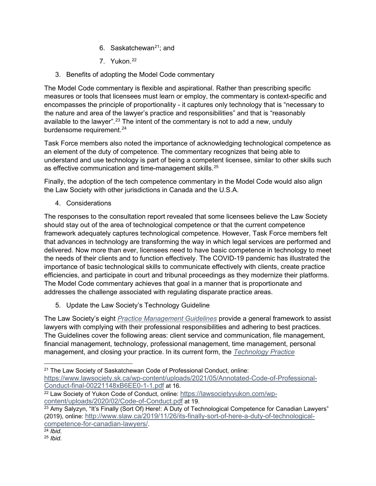- 6. Saskatchewan $21$ : and
- 7. Yukon.[22](#page-23-4)
- <span id="page-23-0"></span>3. Benefits of adopting the Model Code commentary

The Model Code commentary is flexible and aspirational. Rather than prescribing specific measures or tools that licensees must learn or employ, the commentary is context-specific and encompasses the principle of proportionality - it captures only technology that is "necessary to the nature and area of the lawyer's practice and responsibilities" and that is "reasonably available to the lawyer".<sup>[23](#page-23-5)</sup> The intent of the commentary is not to add a new, unduly burdensome requirement.<sup>24</sup>

Task Force members also noted the importance of acknowledging technological competence as an element of the duty of competence. The commentary recognizes that being able to understand and use technology is part of being a competent licensee, similar to other skills such as effective communication and time-management skills.<sup>[25](#page-23-7)</sup>

Finally, the adoption of the tech competence commentary in the Model Code would also align the Law Society with other jurisdictions in Canada and the U.S.A.

<span id="page-23-1"></span>4. Considerations

The responses to the consultation report revealed that some licensees believe the Law Society should stay out of the area of technological competence or that the current competence framework adequately captures technological competence. However, Task Force members felt that advances in technology are transforming the way in which legal services are performed and delivered. Now more than ever, licensees need to have basic competence in technology to meet the needs of their clients and to function effectively. The COVID-19 pandemic has illustrated the importance of basic technological skills to communicate effectively with clients, create practice efficiencies, and participate in court and tribunal proceedings as they modernize their platforms. The Model Code commentary achieves that goal in a manner that is proportionate and addresses the challenge associated with regulating disparate practice areas.

<span id="page-23-2"></span>5. Update the Law Society's Technology Guideline

The Law Society's eight *[Practice Management Guidelines](https://lso.ca/lawyers/practice-supports-and-resources/practice-management-guidelines)* provide a general framework to assist lawyers with complying with their professional responsibilities and adhering to best practices. The Guidelines cover the following areas: client service and communication, file management, financial management, technology, professional management, time management, personal management, and closing your practice. In its current form, the *[Technology Practice](https://lso.ca/lawyers/practice-supports-and-resources/practice-management-guidelines/technology)* 

<span id="page-23-3"></span><sup>21</sup> The Law Society of Saskatchewan Code of Professional Conduct, online: [https://www.lawsociety.sk.ca/wp-content/uploads/2021/05/Annotated-Code-of-Professional-](https://www.lawsociety.sk.ca/wp-content/uploads/2021/05/Annotated-Code-of-Professional-Conduct-final-00221148xB6EE0-1-1.pdf)[Conduct-final-00221148xB6EE0-1-1.pdf](https://www.lawsociety.sk.ca/wp-content/uploads/2021/05/Annotated-Code-of-Professional-Conduct-final-00221148xB6EE0-1-1.pdf) at 16.

<span id="page-23-4"></span><sup>22</sup> Law Society of Yukon Code of Conduct, online: [https://lawsocietyyukon.com/wp](https://lawsocietyyukon.com/wp-content/uploads/2020/02/Code-of-Conduct.pdf)[content/uploads/2020/02/Code-of-Conduct.pdf](https://lawsocietyyukon.com/wp-content/uploads/2020/02/Code-of-Conduct.pdf) at 19.

<span id="page-23-5"></span><sup>&</sup>lt;sup>23</sup> Amy Salyzyn, "It's Finally (Sort Of) Here!: A Duty of Technological Competence for Canadian Lawyers" (2019), online: [http://www.slaw.ca/2019/11/26/its-finally-sort-of-here-a-duty-of-technological](http://www.slaw.ca/2019/11/26/its-finally-sort-of-here-a-duty-of-technological-competence-for-canadian-lawyers/)[competence-for-canadian-lawyers/.](http://www.slaw.ca/2019/11/26/its-finally-sort-of-here-a-duty-of-technological-competence-for-canadian-lawyers/) 24 *Ibid.*

<span id="page-23-7"></span><span id="page-23-6"></span>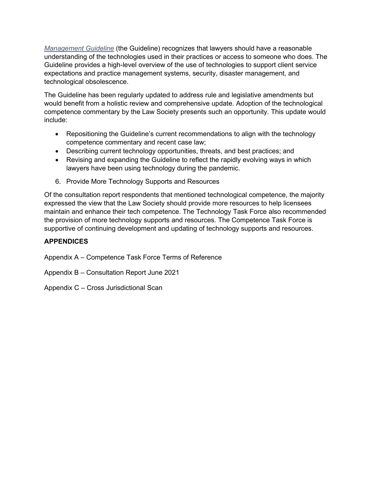*[Management Guideline](https://lso.ca/lawyers/practice-supports-and-resources/practice-management-guidelines/technology)* (the Guideline) recognizes that lawyers should have a reasonable understanding of the technologies used in their practices or access to someone who does. The Guideline provides a high-level overview of the use of technologies to support client service expectations and practice management systems, security, disaster management, and technological obsolescence.

The Guideline has been regularly updated to address rule and legislative amendments but would benefit from a holistic review and comprehensive update. Adoption of the technological competence commentary by the Law Society presents such an opportunity. This update would include:

- Repositioning the Guideline's current recommendations to align with the technology competence commentary and recent case law;
- Describing current technology opportunities, threats, and best practices; and
- Revising and expanding the Guideline to reflect the rapidly evolving ways in which lawyers have been using technology during the pandemic.
- <span id="page-24-0"></span>6. Provide More Technology Supports and Resources

Of the consultation report respondents that mentioned technological competence, the majority expressed the view that the Law Society should provide more resources to help licensees maintain and enhance their tech competence. The Technology Task Force also recommended the provision of more technology supports and resources. The Competence Task Force is supportive of continuing development and updating of technology supports and resources.

### <span id="page-24-1"></span>**APPENDICES**

Appendix A – Competence Task Force Terms of Reference

Appendix B – Consultation Report June 2021

Appendix C – Cross Jurisdictional Scan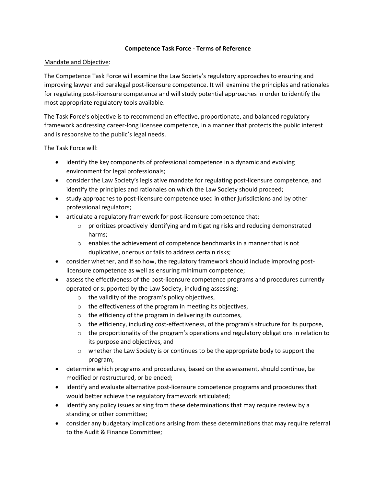#### **Competence Task Force - Terms of Reference**

#### Mandate and Objective:

The Competence Task Force will examine the Law Society's regulatory approaches to ensuring and improving lawyer and paralegal post-licensure competence. It will examine the principles and rationales for regulating post-licensure competence and will study potential approaches in order to identify the most appropriate regulatory tools available.

The Task Force's objective is to recommend an effective, proportionate, and balanced regulatory framework addressing career-long licensee competence, in a manner that protects the public interest and is responsive to the public's legal needs.

The Task Force will:

- identify the key components of professional competence in a dynamic and evolving environment for legal professionals;
- consider the Law Society's legislative mandate for regulating post-licensure competence, and identify the principles and rationales on which the Law Society should proceed;
- study approaches to post-licensure competence used in other jurisdictions and by other professional regulators;
- articulate a regulatory framework for post-licensure competence that:
	- $\circ$  prioritizes proactively identifying and mitigating risks and reducing demonstrated harms;
	- $\circ$  enables the achievement of competence benchmarks in a manner that is not duplicative, onerous or fails to address certain risks;
- consider whether, and if so how, the regulatory framework should include improving postlicensure competence as well as ensuring minimum competence;
- assess the effectiveness of the post-licensure competence programs and procedures currently operated or supported by the Law Society, including assessing:
	- o the validity of the program's policy objectives,
	- o the effectiveness of the program in meeting its objectives,
	- o the efficiency of the program in delivering its outcomes,
	- $\circ$  the efficiency, including cost-effectiveness, of the program's structure for its purpose,
	- $\circ$  the proportionality of the program's operations and regulatory obligations in relation to its purpose and objectives, and
	- $\circ$  whether the Law Society is or continues to be the appropriate body to support the program;
- determine which programs and procedures, based on the assessment, should continue, be modified or restructured, or be ended;
- identify and evaluate alternative post-licensure competence programs and procedures that would better achieve the regulatory framework articulated;
- identify any policy issues arising from these determinations that may require review by a standing or other committee;
- consider any budgetary implications arising from these determinations that may require referral to the Audit & Finance Committee;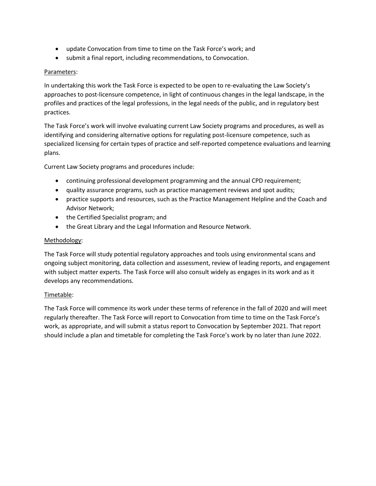- update Convocation from time to time on the Task Force's work; and
- submit a final report, including recommendations, to Convocation.

#### Parameters:

In undertaking this work the Task Force is expected to be open to re-evaluating the Law Society's approaches to post-licensure competence, in light of continuous changes in the legal landscape, in the profiles and practices of the legal professions, in the legal needs of the public, and in regulatory best practices.

The Task Force's work will involve evaluating current Law Society programs and procedures, as well as identifying and considering alternative options for regulating post-licensure competence, such as specialized licensing for certain types of practice and self-reported competence evaluations and learning plans.

Current Law Society programs and procedures include:

- continuing professional development programming and the annual CPD requirement;
- quality assurance programs, such as practice management reviews and spot audits;
- practice supports and resources, such as the Practice Management Helpline and the Coach and Advisor Network;
- the Certified Specialist program; and
- the Great Library and the Legal Information and Resource Network.

#### Methodology:

The Task Force will study potential regulatory approaches and tools using environmental scans and ongoing subject monitoring, data collection and assessment, review of leading reports, and engagement with subject matter experts. The Task Force will also consult widely as engages in its work and as it develops any recommendations.

#### Timetable:

The Task Force will commence its work under these terms of reference in the fall of 2020 and will meet regularly thereafter. The Task Force will report to Convocation from time to time on the Task Force's work, as appropriate, and will submit a status report to Convocation by September 2021. That report should include a plan and timetable for completing the Task Force's work by no later than June 2022.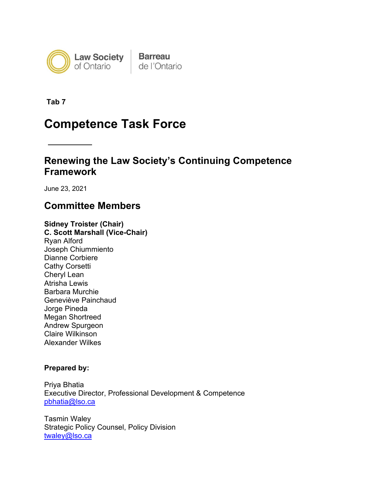

**Tab 7**

# **Competence Task Force**

# **Renewing the Law Society's Continuing Competence Framework**

June 23, 2021

# **Committee Members**

**Sidney Troister (Chair) C. Scott Marshall (Vice-Chair)** Ryan Alford Joseph Chiummiento Dianne Corbiere Cathy Corsetti Cheryl Lean Atrisha Lewis Barbara Murchie Geneviève Painchaud Jorge Pineda Megan Shortreed Andrew Spurgeon Claire Wilkinson Alexander Wilkes

### **Prepared by:**

Priya Bhatia Executive Director, Professional Development & Competence [pbhatia@lso.ca](mailto:pbhatia@lso.ca) 

Tasmin Waley Strategic Policy Counsel, Policy Division [twaley@lso.ca](mailto:twaley@lso.ca)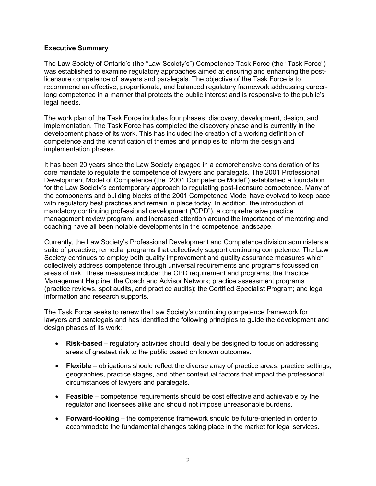#### **Executive Summary**

The Law Society of Ontario's (the "Law Society's") Competence Task Force (the "Task Force") was established to examine regulatory approaches aimed at ensuring and enhancing the postlicensure competence of lawyers and paralegals. The objective of the Task Force is to recommend an effective, proportionate, and balanced regulatory framework addressing careerlong competence in a manner that protects the public interest and is responsive to the public's legal needs.

The work plan of the Task Force includes four phases: discovery, development, design, and implementation. The Task Force has completed the discovery phase and is currently in the development phase of its work. This has included the creation of a working definition of competence and the identification of themes and principles to inform the design and implementation phases.

It has been 20 years since the Law Society engaged in a comprehensive consideration of its core mandate to regulate the competence of lawyers and paralegals. The 2001 Professional Development Model of Competence (the "2001 Competence Model") established a foundation for the Law Society's contemporary approach to regulating post-licensure competence. Many of the components and building blocks of the 2001 Competence Model have evolved to keep pace with regulatory best practices and remain in place today. In addition, the introduction of mandatory continuing professional development ("CPD"), a comprehensive practice management review program, and increased attention around the importance of mentoring and coaching have all been notable developments in the competence landscape.

Currently, the Law Society's Professional Development and Competence division administers a suite of proactive, remedial programs that collectively support continuing competence. The Law Society continues to employ both quality improvement and quality assurance measures which collectively address competence through universal requirements and programs focussed on areas of risk. These measures include: the CPD requirement and programs; the Practice Management Helpline; the Coach and Advisor Network; practice assessment programs (practice reviews, spot audits, and practice audits); the Certified Specialist Program; and legal information and research supports.

The Task Force seeks to renew the Law Society's continuing competence framework for lawyers and paralegals and has identified the following principles to guide the development and design phases of its work:

- **Risk-based** regulatory activities should ideally be designed to focus on addressing areas of greatest risk to the public based on known outcomes.
- **Flexible** obligations should reflect the diverse array of practice areas, practice settings, geographies, practice stages, and other contextual factors that impact the professional circumstances of lawyers and paralegals.
- **Feasible** competence requirements should be cost effective and achievable by the regulator and licensees alike and should not impose unreasonable burdens.
- **Forward-looking** the competence framework should be future-oriented in order to accommodate the fundamental changes taking place in the market for legal services.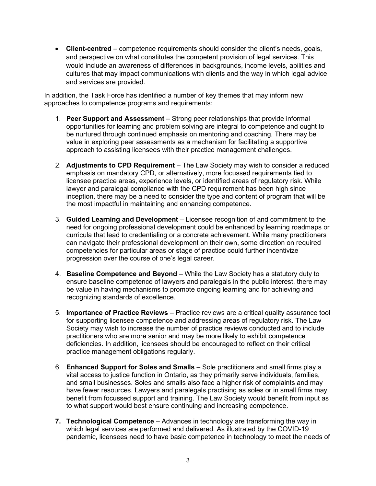• **Client-centred** – competence requirements should consider the client's needs, goals, and perspective on what constitutes the competent provision of legal services. This would include an awareness of differences in backgrounds, income levels, abilities and cultures that may impact communications with clients and the way in which legal advice and services are provided.

In addition, the Task Force has identified a number of key themes that may inform new approaches to competence programs and requirements:

- 1. **Peer Support and Assessment** Strong peer relationships that provide informal opportunities for learning and problem solving are integral to competence and ought to be nurtured through continued emphasis on mentoring and coaching. There may be value in exploring peer assessments as a mechanism for facilitating a supportive approach to assisting licensees with their practice management challenges.
- 2. **Adjustments to CPD Requirement** The Law Society may wish to consider a reduced emphasis on mandatory CPD, or alternatively, more focussed requirements tied to licensee practice areas, experience levels, or identified areas of regulatory risk. While lawyer and paralegal compliance with the CPD requirement has been high since inception, there may be a need to consider the type and content of program that will be the most impactful in maintaining and enhancing competence.
- 3. **Guided Learning and Development**  Licensee recognition of and commitment to the need for ongoing professional development could be enhanced by learning roadmaps or curricula that lead to credentialing or a concrete achievement. While many practitioners can navigate their professional development on their own, some direction on required competencies for particular areas or stage of practice could further incentivize progression over the course of one's legal career.
- 4. **Baseline Competence and Beyond**  While the Law Society has a statutory duty to ensure baseline competence of lawyers and paralegals in the public interest, there may be value in having mechanisms to promote ongoing learning and for achieving and recognizing standards of excellence.
- 5. **Importance of Practice Reviews** Practice reviews are a critical quality assurance tool for supporting licensee competence and addressing areas of regulatory risk. The Law Society may wish to increase the number of practice reviews conducted and to include practitioners who are more senior and may be more likely to exhibit competence deficiencies. In addition, licensees should be encouraged to reflect on their critical practice management obligations regularly.
- 6. **Enhanced Support for Soles and Smalls** Sole practitioners and small firms play a vital access to justice function in Ontario, as they primarily serve individuals, families, and small businesses. Soles and smalls also face a higher risk of complaints and may have fewer resources. Lawyers and paralegals practising as soles or in small firms may benefit from focussed support and training. The Law Society would benefit from input as to what support would best ensure continuing and increasing competence.
- **7. Technological Competence** Advances in technology are transforming the way in which legal services are performed and delivered. As illustrated by the COVID-19 pandemic, licensees need to have basic competence in technology to meet the needs of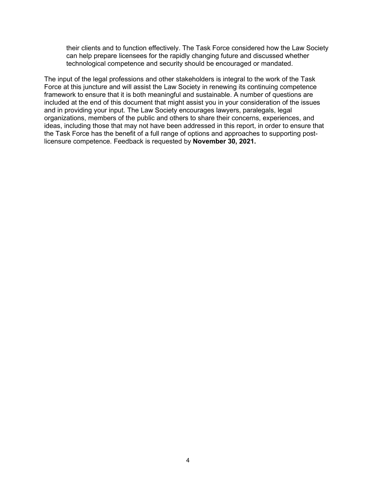their clients and to function effectively. The Task Force considered how the Law Society can help prepare licensees for the rapidly changing future and discussed whether technological competence and security should be encouraged or mandated.

The input of the legal professions and other stakeholders is integral to the work of the Task Force at this juncture and will assist the Law Society in renewing its continuing competence framework to ensure that it is both meaningful and sustainable. A number of questions are included at the end of this document that might assist you in your consideration of the issues and in providing your input. The Law Society encourages lawyers, paralegals, legal organizations, members of the public and others to share their concerns, experiences, and ideas, including those that may not have been addressed in this report, in order to ensure that the Task Force has the benefit of a full range of options and approaches to supporting postlicensure competence. Feedback is requested by **November 30, 2021.**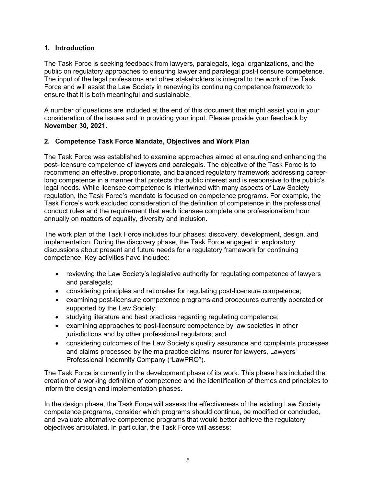### **1. Introduction**

The Task Force is seeking feedback from lawyers, paralegals, legal organizations, and the public on regulatory approaches to ensuring lawyer and paralegal post-licensure competence. The input of the legal professions and other stakeholders is integral to the work of the Task Force and will assist the Law Society in renewing its continuing competence framework to ensure that it is both meaningful and sustainable.

A number of questions are included at the end of this document that might assist you in your consideration of the issues and in providing your input. Please provide your feedback by **November 30, 2021**.

### **2. Competence Task Force Mandate, Objectives and Work Plan**

The Task Force was established to examine approaches aimed at ensuring and enhancing the post-licensure competence of lawyers and paralegals. The objective of the Task Force is to recommend an effective, proportionate, and balanced regulatory framework addressing careerlong competence in a manner that protects the public interest and is responsive to the public's legal needs. While licensee competence is intertwined with many aspects of Law Society regulation, the Task Force's mandate is focused on competence programs. For example, the Task Force's work excluded consideration of the definition of competence in the professional conduct rules and the requirement that each licensee complete one professionalism hour annually on matters of equality, diversity and inclusion.

The work plan of the Task Force includes four phases: discovery, development, design, and implementation. During the discovery phase, the Task Force engaged in exploratory discussions about present and future needs for a regulatory framework for continuing competence. Key activities have included:

- reviewing the Law Society's legislative authority for regulating competence of lawyers and paralegals;
- considering principles and rationales for regulating post-licensure competence;
- examining post-licensure competence programs and procedures currently operated or supported by the Law Society;
- studying literature and best practices regarding regulating competence;
- examining approaches to post-licensure competence by law societies in other jurisdictions and by other professional regulators; and
- considering outcomes of the Law Society's quality assurance and complaints processes and claims processed by the malpractice claims insurer for lawyers, Lawyers' Professional Indemnity Company ("LawPRO").

The Task Force is currently in the development phase of its work. This phase has included the creation of a working definition of competence and the identification of themes and principles to inform the design and implementation phases.

In the design phase, the Task Force will assess the effectiveness of the existing Law Society competence programs, consider which programs should continue, be modified or concluded, and evaluate alternative competence programs that would better achieve the regulatory objectives articulated. In particular, the Task Force will assess: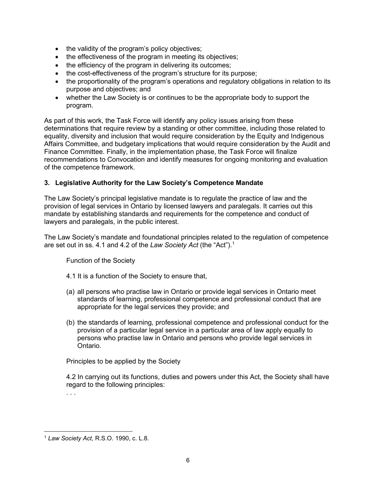- the validity of the program's policy objectives;
- the effectiveness of the program in meeting its objectives;
- the efficiency of the program in delivering its outcomes;
- the cost-effectiveness of the program's structure for its purpose;
- the proportionality of the program's operations and regulatory obligations in relation to its purpose and objectives; and
- whether the Law Society is or continues to be the appropriate body to support the program.

As part of this work, the Task Force will identify any policy issues arising from these determinations that require review by a standing or other committee, including those related to equality, diversity and inclusion that would require consideration by the Equity and Indigenous Affairs Committee, and budgetary implications that would require consideration by the Audit and Finance Committee. Finally, in the implementation phase, the Task Force will finalize recommendations to Convocation and identify measures for ongoing monitoring and evaluation of the competence framework.

### **3. Legislative Authority for the Law Society's Competence Mandate**

The Law Society's principal legislative mandate is to regulate the practice of law and the provision of legal services in Ontario by licensed lawyers and paralegals. It carries out this mandate by establishing standards and requirements for the competence and conduct of lawyers and paralegals, in the public interest.

The Law Society's mandate and foundational principles related to the regulation of competence are set out in ss. 4.1 and 4.2 of the *Law Society Act* (the "Act"). [1](#page-32-0)

Function of the Society

- 4.1 It is a function of the Society to ensure that,
- (a) all persons who practise law in Ontario or provide legal services in Ontario meet standards of learning, professional competence and professional conduct that are appropriate for the legal services they provide; and
- (b) the standards of learning, professional competence and professional conduct for the provision of a particular legal service in a particular area of law apply equally to persons who practise law in Ontario and persons who provide legal services in Ontario.

Principles to be applied by the Society

4.2 In carrying out its functions, duties and powers under this Act, the Society shall have regard to the following principles:

. . .

<span id="page-32-0"></span><sup>1</sup> *Law Society Act*, R.S.O. 1990, c. L.8.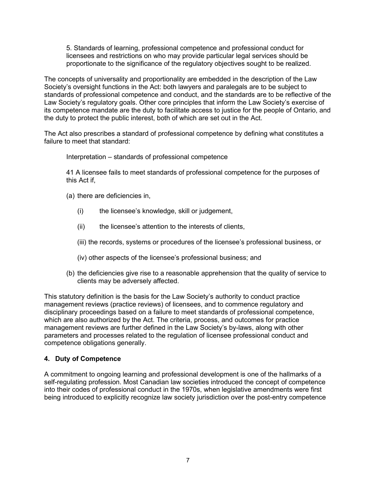5. Standards of learning, professional competence and professional conduct for licensees and restrictions on who may provide particular legal services should be proportionate to the significance of the regulatory objectives sought to be realized.

The concepts of universality and proportionality are embedded in the description of the Law Society's oversight functions in the Act: both lawyers and paralegals are to be subject to standards of professional competence and conduct, and the standards are to be reflective of the Law Society's regulatory goals. Other core principles that inform the Law Society's exercise of its competence mandate are the duty to facilitate access to justice for the people of Ontario, and the duty to protect the public interest, both of which are set out in the Act.

The Act also prescribes a standard of professional competence by defining what constitutes a failure to meet that standard:

Interpretation – standards of professional competence

41 A licensee fails to meet standards of professional competence for the purposes of this Act if,

- (a) there are deficiencies in,
	- (i) the licensee's knowledge, skill or judgement,
	- (ii) the licensee's attention to the interests of clients,
	- (iii) the records, systems or procedures of the licensee's professional business, or
	- (iv) other aspects of the licensee's professional business; and
- (b) the deficiencies give rise to a reasonable apprehension that the quality of service to clients may be adversely affected.

This statutory definition is the basis for the Law Society's authority to conduct practice management reviews (practice reviews) of licensees, and to commence regulatory and disciplinary proceedings based on a failure to meet standards of professional competence, which are also authorized by the Act. The criteria, process, and outcomes for practice management reviews are further defined in the Law Society's by-laws, along with other parameters and processes related to the regulation of licensee professional conduct and competence obligations generally.

#### **4. Duty of Competence**

A commitment to ongoing learning and professional development is one of the hallmarks of a self-regulating profession. Most Canadian law societies introduced the concept of competence into their codes of professional conduct in the 1970s, when legislative amendments were first being introduced to explicitly recognize law society jurisdiction over the post-entry competence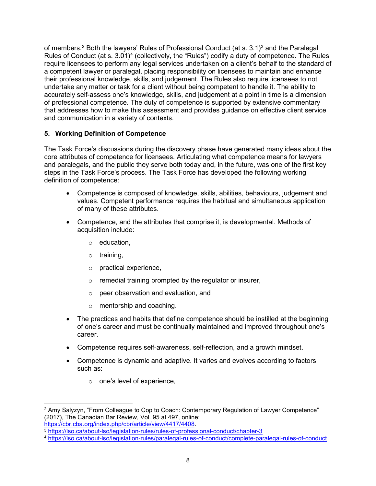of members. $^2$  $^2$  Both the lawyers' Rules of Professional Conduct (at s. [3](#page-34-1).1) $^3$  and the Paralegal Rules of Conduct (at s. 3.01)<sup>[4](#page-34-2)</sup> (collectively, the "Rules") codify a duty of competence. The Rules require licensees to perform any legal services undertaken on a client's behalf to the standard of a competent lawyer or paralegal, placing responsibility on licensees to maintain and enhance their professional knowledge, skills, and judgement. The Rules also require licensees to not undertake any matter or task for a client without being competent to handle it. The ability to accurately self-assess one's knowledge, skills, and judgement at a point in time is a dimension of professional competence. The duty of competence is supported by extensive commentary that addresses how to make this assessment and provides guidance on effective client service and communication in a variety of contexts.

### **5. Working Definition of Competence**

The Task Force's discussions during the discovery phase have generated many ideas about the core attributes of competence for licensees. Articulating what competence means for lawyers and paralegals, and the public they serve both today and, in the future, was one of the first key steps in the Task Force's process. The Task Force has developed the following working definition of competence:

- Competence is composed of knowledge, skills, abilities, behaviours, judgement and values. Competent performance requires the habitual and simultaneous application of many of these attributes.
- Competence, and the attributes that comprise it, is developmental. Methods of acquisition include:
	- o education,
	- o training,
	- o practical experience,
	- o remedial training prompted by the regulator or insurer,
	- o peer observation and evaluation, and
	- o mentorship and coaching.
- The practices and habits that define competence should be instilled at the beginning of one's career and must be continually maintained and improved throughout one's career.
- Competence requires self-awareness, self-reflection, and a growth mindset.
- Competence is dynamic and adaptive. It varies and evolves according to factors such as:
	- o one's level of experience,

<span id="page-34-0"></span><sup>&</sup>lt;sup>2</sup> Amy Salyzyn, "From Colleague to Cop to Coach: Contemporary Regulation of Lawyer Competence" (2017), The Canadian Bar Review, Vol. 95 at 497, online:<br>https://cbr.cba.org/index.php/cbr/article/view/4417/4408.

<span id="page-34-1"></span><sup>3</sup> <https://lso.ca/about-lso/legislation-rules/rules-of-professional-conduct/chapter-3>

<span id="page-34-2"></span><sup>4</sup> <https://lso.ca/about-lso/legislation-rules/paralegal-rules-of-conduct/complete-paralegal-rules-of-conduct>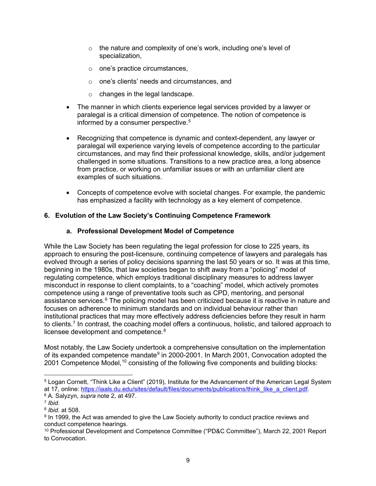- $\circ$  the nature and complexity of one's work, including one's level of specialization,
- o one's practice circumstances,
- o one's clients' needs and circumstances, and
- o changes in the legal landscape.
- The manner in which clients experience legal services provided by a lawyer or paralegal is a critical dimension of competence. The notion of competence is informed by a consumer perspective. $5$
- Recognizing that competence is dynamic and context-dependent, any lawyer or paralegal will experience varying levels of competence according to the particular circumstances, and may find their professional knowledge, skills, and/or judgement challenged in some situations. Transitions to a new practice area, a long absence from practice, or working on unfamiliar issues or with an unfamiliar client are examples of such situations.
- Concepts of competence evolve with societal changes. For example, the pandemic has emphasized a facility with technology as a key element of competence.

### **6. Evolution of the Law Society's Continuing Competence Framework**

### **a. Professional Development Model of Competence**

While the Law Society has been regulating the legal profession for close to 225 years, its approach to ensuring the post-licensure, continuing competence of lawyers and paralegals has evolved through a series of policy decisions spanning the last 50 years or so. It was at this time, beginning in the 1980s, that law societies began to shift away from a "policing" model of regulating competence, which employs traditional disciplinary measures to address lawyer misconduct in response to client complaints, to a "coaching" model, which actively promotes competence using a range of preventative tools such as CPD, mentoring, and personal assistance services. [6](#page-35-1) The policing model has been criticized because it is reactive in nature and focuses on adherence to minimum standards and on individual behaviour rather than institutional practices that may more effectively address deficiencies before they result in harm to clients.<sup>[7](#page-35-2)</sup> In contrast, the coaching model offers a continuous, holistic, and tailored approach to licensee development and competence. $8$ 

Most notably, the Law Society undertook a comprehensive consultation on the implementation of its expanded competence mandate<sup>[9](#page-35-4)</sup> in 2000-2001. In March 2001, Convocation adopted the 2001 Competence Model,<sup>[10](#page-35-5)</sup> consisting of the following five components and building blocks:

<span id="page-35-0"></span><sup>5</sup> Logan Cornett, "Think Like a Client" (2019), Institute for the Advancement of the American Legal System at 17, online: [https://iaals.du.edu/sites/default/files/documents/publications/think\\_like\\_a\\_client.pdf.](https://iaals.du.edu/sites/default/files/documents/publications/think_like_a_client.pdf) 6 A. Salyzyn, *supra* note 2, at 497.

<span id="page-35-1"></span>

<span id="page-35-2"></span><sup>7</sup> *Ibid*. <sup>8</sup> *Ibid*. at 508.

<span id="page-35-4"></span><span id="page-35-3"></span><sup>9</sup> In 1999, the Act was amended to give the Law Society authority to conduct practice reviews and conduct competence hearings.

<span id="page-35-5"></span><sup>10</sup> Professional Development and Competence Committee ("PD&C Committee"), March 22, 2001 Report to Convocation.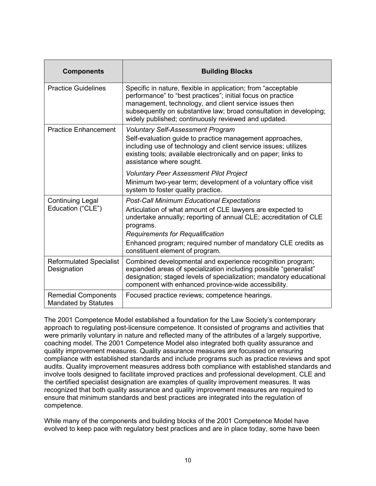| <b>Components</b>                                         | <b>Building Blocks</b>                                                                                                                                                                                                                                                                                                                           |
|-----------------------------------------------------------|--------------------------------------------------------------------------------------------------------------------------------------------------------------------------------------------------------------------------------------------------------------------------------------------------------------------------------------------------|
| <b>Practice Guidelines</b>                                | Specific in nature, flexible in application; from "acceptable"<br>performance" to "best practices"; initial focus on practice<br>management, technology, and client service issues then<br>subsequently on substantive law; broad consultation in developing;<br>widely published; continuously reviewed and updated.                            |
| <b>Practice Enhancement</b>                               | <b>Voluntary Self-Assessment Program</b><br>Self-evaluation guide to practice management approaches,<br>including use of technology and client service issues; utilizes<br>existing tools; available electronically and on paper; links to<br>assistance where sought.                                                                           |
|                                                           | <b>Voluntary Peer Assessment Pilot Project</b><br>Minimum two-year term; development of a voluntary office visit<br>system to foster quality practice.                                                                                                                                                                                           |
| <b>Continuing Legal</b><br>Education ("CLE")              | <b>Post-Call Minimum Educational Expectations</b><br>Articulation of what amount of CLE lawyers are expected to<br>undertake annually; reporting of annual CLE; accreditation of CLE<br>programs.<br><b>Requirements for Requalification</b><br>Enhanced program; required number of mandatory CLE credits as<br>constituent element of program. |
| <b>Reformulated Specialist</b><br>Designation             | Combined developmental and experience recognition program;<br>expanded areas of specialization including possible "generalist"<br>designation; staged levels of specialization; mandatory educational<br>component with enhanced province-wide accessibility.                                                                                    |
| <b>Remedial Components</b><br><b>Mandated by Statutes</b> | Focused practice reviews; competence hearings.                                                                                                                                                                                                                                                                                                   |

The 2001 Competence Model established a foundation for the Law Society's contemporary approach to regulating post-licensure competence. It consisted of programs and activities that were primarily voluntary in nature and reflected many of the attributes of a largely supportive, coaching model. The 2001 Competence Model also integrated both quality assurance and quality improvement measures. Quality assurance measures are focussed on ensuring compliance with established standards and include programs such as practice reviews and spot audits. Quality improvement measures address both compliance with established standards and involve tools designed to facilitate improved practices and professional development. CLE and the certified specialist designation are examples of quality improvement measures. It was recognized that both quality assurance and quality improvement measures are required to ensure that minimum standards and best practices are integrated into the regulation of competence.

While many of the components and building blocks of the 2001 Competence Model have evolved to keep pace with regulatory best practices and are in place today, some have been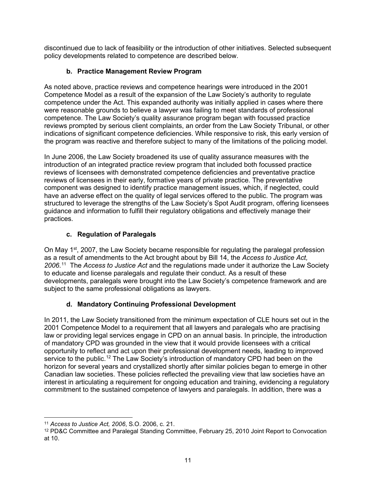discontinued due to lack of feasibility or the introduction of other initiatives. Selected subsequent policy developments related to competence are described below.

### **b. Practice Management Review Program**

As noted above, practice reviews and competence hearings were introduced in the 2001 Competence Model as a result of the expansion of the Law Society's authority to regulate competence under the Act. This expanded authority was initially applied in cases where there were reasonable grounds to believe a lawyer was failing to meet standards of professional competence. The Law Society's quality assurance program began with focussed practice reviews prompted by serious client complaints, an order from the Law Society Tribunal, or other indications of significant competence deficiencies. While responsive to risk, this early version of the program was reactive and therefore subject to many of the limitations of the policing model.

In June 2006, the Law Society broadened its use of quality assurance measures with the introduction of an integrated practice review program that included both focussed practice reviews of licensees with demonstrated competence deficiencies and preventative practice reviews of licensees in their early, formative years of private practice. The preventative component was designed to identify practice management issues, which, if neglected, could have an adverse effect on the quality of legal services offered to the public. The program was structured to leverage the strengths of the Law Society's Spot Audit program, offering licensees guidance and information to fulfill their regulatory obligations and effectively manage their practices.

### **c. Regulation of Paralegals**

On May 1<sup>st</sup>, 2007, the Law Society became responsible for regulating the paralegal profession as a result of amendments to the Act brought about by Bill 14, the *Access to Justice Act, 2006*. [11](#page-37-0) The *Access to Justice Act* and the regulations made under it authorize the Law Society to educate and license paralegals and regulate their conduct. As a result of these developments, paralegals were brought into the Law Society's competence framework and are subject to the same professional obligations as lawyers.

### **d. Mandatory Continuing Professional Development**

In 2011, the Law Society transitioned from the minimum expectation of CLE hours set out in the 2001 Competence Model to a requirement that all lawyers and paralegals who are practising law or providing legal services engage in CPD on an annual basis. In principle, the introduction of mandatory CPD was grounded in the view that it would provide licensees with a critical opportunity to reflect and act upon their professional development needs, leading to improved service to the public.<sup>[12](#page-37-1)</sup> The Law Society's introduction of mandatory CPD had been on the horizon for several years and crystallized shortly after similar policies began to emerge in other Canadian law societies. These policies reflected the prevailing view that law societies have an interest in articulating a requirement for ongoing education and training, evidencing a regulatory commitment to the sustained competence of lawyers and paralegals. In addition, there was a

<span id="page-37-0"></span><sup>11</sup> *Access to Justice Act, 2006*, S.O. 2006, c. 21.

<span id="page-37-1"></span><sup>12</sup> PD&C Committee and Paralegal Standing Committee, February 25, 2010 Joint Report to Convocation at 10.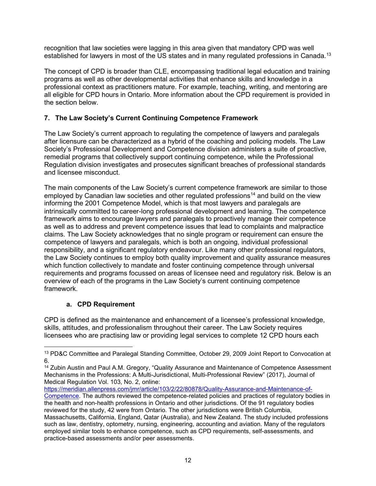recognition that law societies were lagging in this area given that mandatory CPD was well established for lawyers in most of the US states and in many regulated professions in Canada.<sup>[13](#page-38-0)</sup>

The concept of CPD is broader than CLE, encompassing traditional legal education and training programs as well as other developmental activities that enhance skills and knowledge in a professional context as practitioners mature. For example, teaching, writing, and mentoring are all eligible for CPD hours in Ontario. More information about the CPD requirement is provided in the section below.

### **7. The Law Society's Current Continuing Competence Framework**

The Law Society's current approach to regulating the competence of lawyers and paralegals after licensure can be characterized as a hybrid of the coaching and policing models. The Law Society's Professional Development and Competence division administers a suite of proactive, remedial programs that collectively support continuing competence, while the Professional Regulation division investigates and prosecutes significant breaches of professional standards and licensee misconduct.

The main components of the Law Society's current competence framework are similar to those employed by Canadian law societies and other regulated professions<sup>[14](#page-38-1)</sup> and build on the view informing the 2001 Competence Model, which is that most lawyers and paralegals are intrinsically committed to career-long professional development and learning. The competence framework aims to encourage lawyers and paralegals to proactively manage their competence as well as to address and prevent competence issues that lead to complaints and malpractice claims. The Law Society acknowledges that no single program or requirement can ensure the competence of lawyers and paralegals, which is both an ongoing, individual professional responsibility, and a significant regulatory endeavour. Like many other professional regulators, the Law Society continues to employ both quality improvement and quality assurance measures which function collectively to mandate and foster continuing competence through universal requirements and programs focussed on areas of licensee need and regulatory risk. Below is an overview of each of the programs in the Law Society's current continuing competence framework.

### **a. CPD Requirement**

CPD is defined as the maintenance and enhancement of a licensee's professional knowledge, skills, attitudes, and professionalism throughout their career. The Law Society requires licensees who are practising law or providing legal services to complete 12 CPD hours each

[https://meridian.allenpress.com/jmr/article/103/2/22/80878/Quality-Assurance-and-Maintenance-of-](https://meridian.allenpress.com/jmr/article/103/2/22/80878/Quality-Assurance-and-Maintenance-of-Competence)

<span id="page-38-0"></span><sup>13</sup> PD&C Committee and Paralegal Standing Committee, October 29, 2009 Joint Report to Convocation at 6.

<span id="page-38-1"></span><sup>14</sup> Zubin Austin and Paul A.M. Gregory, "Quality Assurance and Maintenance of Competence Assessment Mechanisms in the Professions: A Multi-Jurisdictional, Multi-Professional Review" (2017), Journal of Medical Regulation Vol. 103, No. 2, online:

[Competence.](https://meridian.allenpress.com/jmr/article/103/2/22/80878/Quality-Assurance-and-Maintenance-of-Competence) The authors reviewed the competence-related policies and practices of regulatory bodies in the health and non-health professions in Ontario and other jurisdictions. Of the 91 regulatory bodies reviewed for the study, 42 were from Ontario. The other jurisdictions were British Columbia, Massachusetts, California, England, Qatar (Australia), and New Zealand. The study included professions such as law, dentistry, optometry, nursing, engineering, accounting and aviation. Many of the regulators employed similar tools to enhance competence, such as CPD requirements, self-assessments, and practice-based assessments and/or peer assessments.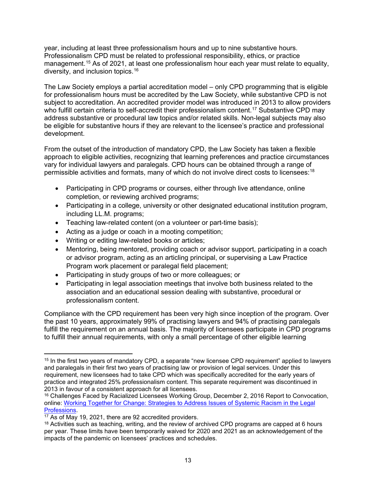year, including at least three professionalism hours and up to nine substantive hours. Professionalism CPD must be related to professional responsibility, ethics, or practice management.<sup>[15](#page-39-0)</sup> As of 2021, at least one professionalism hour each year must relate to equality, diversity, and inclusion topics. [16](#page-39-1) 

The Law Society employs a partial accreditation model – only CPD programming that is eligible for professionalism hours must be accredited by the Law Society, while substantive CPD is not subject to accreditation. An accredited provider model was introduced in 2013 to allow providers who fulfill certain criteria to self-accredit their professionalism content.<sup>[17](#page-39-2)</sup> Substantive CPD may address substantive or procedural law topics and/or related skills. Non-legal subjects may also be eligible for substantive hours if they are relevant to the licensee's practice and professional development.

From the outset of the introduction of mandatory CPD, the Law Society has taken a flexible approach to eligible activities, recognizing that learning preferences and practice circumstances vary for individual lawyers and paralegals. CPD hours can be obtained through a range of permissible activities and formats, many of which do not involve direct costs to licensees: $^{\rm 18}$  $^{\rm 18}$  $^{\rm 18}$ 

- Participating in CPD programs or courses, either through live attendance, online completion, or reviewing archived programs;
- Participating in a college, university or other designated educational institution program, including LL.M. programs;
- Teaching law-related content (on a volunteer or part-time basis);
- Acting as a judge or coach in a mooting competition;
- Writing or editing law-related books or articles;
- Mentoring, being mentored, providing coach or advisor support, participating in a coach or advisor program, acting as an articling principal, or supervising a Law Practice Program work placement or paralegal field placement;
- Participating in study groups of two or more colleagues; or
- Participating in legal association meetings that involve both business related to the association and an educational session dealing with substantive, procedural or professionalism content.

Compliance with the CPD requirement has been very high since inception of the program. Over the past 10 years, approximately 99% of practising lawyers and 94% of practising paralegals fulfill the requirement on an annual basis. The majority of licensees participate in CPD programs to fulfill their annual requirements, with only a small percentage of other eligible learning

<span id="page-39-0"></span><sup>15</sup> In the first two years of mandatory CPD, a separate "new licensee CPD requirement" applied to lawyers and paralegals in their first two years of practising law or provision of legal services. Under this requirement, new licensees had to take CPD which was specifically accredited for the early years of practice and integrated 25% professionalism content. This separate requirement was discontinued in<br>2013 in favour of a consistent approach for all licensees.

<span id="page-39-1"></span><sup>&</sup>lt;sup>16</sup> Challenges Faced by Racialized Licensees Working Group, December 2, 2016 Report to Convocation, online: Working [Together for Change: Strategies to Address Issues of Systemic Racism in the](http://lawsocietyontario.azureedge.net/media/lso/media/legacy/pdf/w/working-together-for-change-strategies-to-address-issues-of-systemic-racism-in-the-legal-professions-final-report.pdf) Legal [Professions.](http://lawsocietyontario.azureedge.net/media/lso/media/legacy/pdf/w/working-together-for-change-strategies-to-address-issues-of-systemic-racism-in-the-legal-professions-final-report.pdf)<br><sup>17</sup> As of May 19, 2021, there are 92 accredited providers.

<span id="page-39-3"></span><span id="page-39-2"></span> $18$  Activities such as teaching, writing, and the review of archived CPD programs are capped at 6 hours per year. These limits have been temporarily waived for 2020 and 2021 as an acknowledgement of the impacts of the pandemic on licensees' practices and schedules.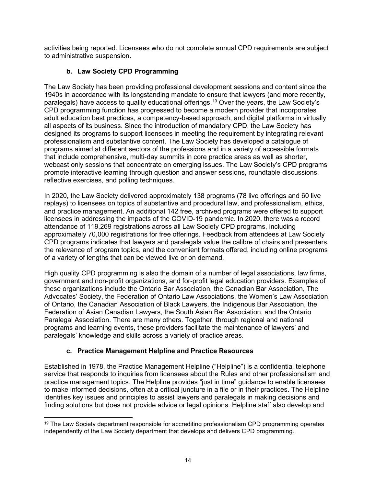activities being reported. Licensees who do not complete annual CPD requirements are subject to administrative suspension.

### **b. Law Society CPD Programming**

The Law Society has been providing professional development sessions and content since the 1940s in accordance with its longstanding mandate to ensure that lawyers (and more recently, paralegals) have access to quality educational offerings.<sup>[19](#page-40-0)</sup> Over the years, the Law Society's CPD programming function has progressed to become a modern provider that incorporates adult education best practices, a competency-based approach, and digital platforms in virtually all aspects of its business. Since the introduction of mandatory CPD, the Law Society has designed its programs to support licensees in meeting the requirement by integrating relevant professionalism and substantive content. The Law Society has developed a catalogue of programs aimed at different sectors of the professions and in a variety of accessible formats that include comprehensive, multi-day summits in core practice areas as well as shorter, webcast only sessions that concentrate on emerging issues. The Law Society's CPD programs promote interactive learning through question and answer sessions, roundtable discussions, reflective exercises, and polling techniques.

In 2020, the Law Society delivered approximately 138 programs (78 live offerings and 60 live replays) to licensees on topics of substantive and procedural law, and professionalism, ethics, and practice management. An additional 142 free, archived programs were offered to support licensees in addressing the impacts of the COVID-19 pandemic. In 2020, there was a record attendance of 119,269 registrations across all Law Society CPD programs, including approximately 70,000 registrations for free offerings. Feedback from attendees at Law Society CPD programs indicates that lawyers and paralegals value the calibre of chairs and presenters, the relevance of program topics, and the convenient formats offered, including online programs of a variety of lengths that can be viewed live or on demand.

High quality CPD programming is also the domain of a number of legal associations, law firms, government and non-profit organizations, and for-profit legal education providers. Examples of these organizations include the Ontario Bar Association, the Canadian Bar Association, The Advocates' Society, the Federation of Ontario Law Associations, the Women's Law Association of Ontario, the Canadian Association of Black Lawyers, the Indigenous Bar Association, the Federation of Asian Canadian Lawyers, the South Asian Bar Association, and the Ontario Paralegal Association. There are many others. Together, through regional and national programs and learning events, these providers facilitate the maintenance of lawyers' and paralegals' knowledge and skills across a variety of practice areas.

### **c. Practice Management Helpline and Practice Resources**

Established in 1978, the Practice Management Helpline ("Helpline") is a confidential telephone service that responds to inquiries from licensees about the Rules and other professionalism and practice management topics. The Helpline provides "just in time" guidance to enable licensees to make informed decisions, often at a critical juncture in a file or in their practices. The Helpline identifies key issues and principles to assist lawyers and paralegals in making decisions and finding solutions but does not provide advice or legal opinions. Helpline staff also develop and

<span id="page-40-0"></span><sup>&</sup>lt;sup>19</sup> The Law Society department responsible for accrediting professionalism CPD programming operates independently of the Law Society department that develops and delivers CPD programming.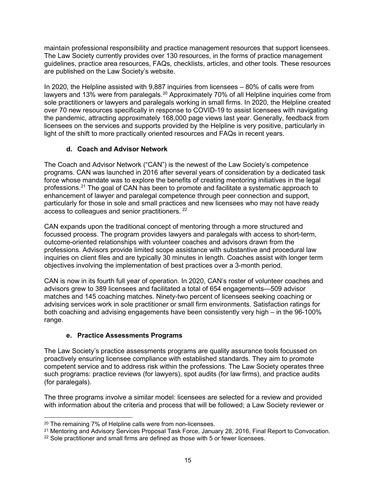maintain professional responsibility and practice management resources that support licensees. The Law Society currently provides over 130 resources, in the forms of practice management guidelines, practice area resources, FAQs, checklists, articles, and other tools. These resources are published on the Law Society's website.

In 2020, the Helpline assisted with 9,887 inquiries from licensees – 80% of calls were from lawyers and 13% were from paralegals.<sup>20</sup> Approximately 70% of all Helpline inquiries come from sole practitioners or lawyers and paralegals working in small firms. In 2020, the Helpline created over 70 new resources specifically in response to COVID-19 to assist licensees with navigating the pandemic, attracting approximately 168,000 page views last year. Generally, feedback from licensees on the services and supports provided by the Helpline is very positive, particularly in light of the shift to more practically oriented resources and FAQs in recent years.

### **d. Coach and Advisor Network**

The Coach and Advisor Network ("CAN") is the newest of the Law Society's competence programs. CAN was launched in 2016 after several years of consideration by a dedicated task force whose mandate was to explore the benefits of creating mentoring initiatives in the legal professions.[21](#page-41-1) The goal of CAN has been to promote and facilitate a systematic approach to enhancement of lawyer and paralegal competence through peer connection and support, particularly for those in sole and small practices and new licensees who may not have ready access to colleagues and senior practitioners. [22](#page-41-2) 

CAN expands upon the traditional concept of mentoring through a more structured and focussed process. The program provides lawyers and paralegals with access to short-term, outcome-oriented relationships with volunteer coaches and advisors drawn from the professions. Advisors provide limited scope assistance with substantive and procedural law inquiries on client files and are typically 30 minutes in length. Coaches assist with longer term objectives involving the implementation of best practices over a 3-month period.

CAN is now in its fourth full year of operation. In 2020, CAN's roster of volunteer coaches and advisors grew to 389 licensees and facilitated a total of 654 engagements—509 advisor matches and 145 coaching matches. Ninety-two percent of licensees seeking coaching or advising services work in sole practitioner or small firm environments. Satisfaction ratings for both coaching and advising engagements have been consistently very high – in the 96-100% range.

### **e. Practice Assessments Programs**

The Law Society's practice assessments programs are quality assurance tools focussed on proactively ensuring licensee compliance with established standards. They aim to promote competent service and to address risk within the professions. The Law Society operates three such programs: practice reviews (for lawyers), spot audits (for law firms), and practice audits (for paralegals).

The three programs involve a similar model: licensees are selected for a review and provided with information about the criteria and process that will be followed; a Law Society reviewer or

<span id="page-41-0"></span><sup>20</sup> The remaining 7% of Helpline calls were from non-licensees.

<span id="page-41-1"></span><sup>&</sup>lt;sup>21</sup> Mentoring and Advisory Services Proposal Task Force, January 28, 2016, Final Report to Convocation. <sup>22</sup> Sole practitioner and small firms are defined as those with 5 or fewer licensees.

<span id="page-41-2"></span>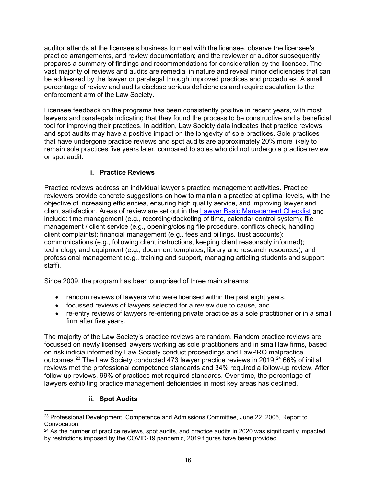auditor attends at the licensee's business to meet with the licensee, observe the licensee's practice arrangements, and review documentation; and the reviewer or auditor subsequently prepares a summary of findings and recommendations for consideration by the licensee. The vast majority of reviews and audits are remedial in nature and reveal minor deficiencies that can be addressed by the lawyer or paralegal through improved practices and procedures. A small percentage of review and audits disclose serious deficiencies and require escalation to the enforcement arm of the Law Society.

Licensee feedback on the programs has been consistently positive in recent years, with most lawyers and paralegals indicating that they found the process to be constructive and a beneficial tool for improving their practices. In addition, Law Society data indicates that practice reviews and spot audits may have a positive impact on the longevity of sole practices. Sole practices that have undergone practice reviews and spot audits are approximately 20% more likely to remain sole practices five years later, compared to soles who did not undergo a practice review or spot audit.

### **i. Practice Reviews**

Practice reviews address an individual lawyer's practice management activities. Practice reviewers provide concrete suggestions on how to maintain a practice at optimal levels, with the objective of increasing efficiencies, ensuring high quality service, and improving lawyer and client satisfaction. Areas of review are set out in the [Lawyer Basic Management Checklist](https://lawsocietyontario.azureedge.net/media/lso/media/legacy/pdf/b/ba/basic-management-checklist-lawyer.pdf) and include: time management (e.g., recording/docketing of time, calendar control system); file management / client service (e.g., opening/closing file procedure, conflicts check, handling client complaints); financial management (e.g., fees and billings, trust accounts); communications (e.g., following client instructions, keeping client reasonably informed); technology and equipment (e.g., document templates, library and research resources); and professional management (e.g., training and support, managing articling students and support staff).

Since 2009, the program has been comprised of three main streams:

- random reviews of lawyers who were licensed within the past eight years,
- focussed reviews of lawyers selected for a review due to cause, and
- re-entry reviews of lawyers re-entering private practice as a sole practitioner or in a small firm after five years.

The majority of the Law Society's practice reviews are random. Random practice reviews are focussed on newly licensed lawyers working as sole practitioners and in small law firms, based on risk indicia informed by Law Society conduct proceedings and LawPRO malpractice outcomes.<sup>[23](#page-42-0)</sup> The Law Society conducted 473 lawyer practice reviews in 2019;<sup>[24](#page-42-1)</sup> 66% of initial reviews met the professional competence standards and 34% required a follow-up review. After follow-up reviews, 99% of practices met required standards. Over time, the percentage of lawyers exhibiting practice management deficiencies in most key areas has declined.

### **ii. Spot Audits**

<span id="page-42-0"></span><sup>&</sup>lt;sup>23</sup> Professional Development, Competence and Admissions Committee, June 22, 2006, Report to Convocation.

<span id="page-42-1"></span> $24$  As the number of practice reviews, spot audits, and practice audits in 2020 was significantly impacted by restrictions imposed by the COVID-19 pandemic, 2019 figures have been provided.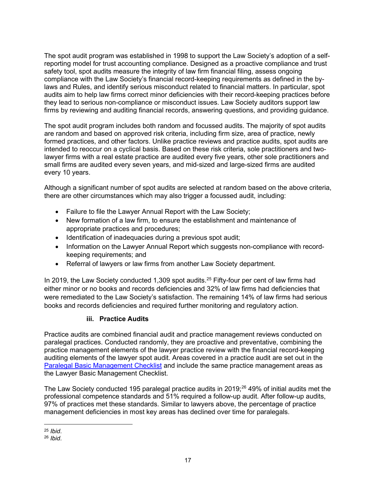The spot audit program was established in 1998 to support the Law Society's adoption of a selfreporting model for trust accounting compliance. Designed as a proactive compliance and trust safety tool, spot audits measure the integrity of law firm financial filing, assess ongoing compliance with the Law Society's financial record-keeping requirements as defined in the bylaws and Rules, and identify serious misconduct related to financial matters. In particular, spot audits aim to help law firms correct minor deficiencies with their record-keeping practices before they lead to serious non-compliance or misconduct issues. Law Society auditors support law firms by reviewing and auditing financial records, answering questions, and providing guidance.

The spot audit program includes both random and focussed audits. The majority of spot audits are random and based on approved risk criteria, including firm size, area of practice, newly formed practices, and other factors. Unlike practice reviews and practice audits, spot audits are intended to reoccur on a cyclical basis. Based on these risk criteria, sole practitioners and twolawyer firms with a real estate practice are audited every five years, other sole practitioners and small firms are audited every seven years, and mid-sized and large-sized firms are audited every 10 years.

Although a significant number of spot audits are selected at random based on the above criteria, there are other circumstances which may also trigger a focussed audit, including:

- Failure to file the Lawyer Annual Report with the Law Society;
- New formation of a law firm, to ensure the establishment and maintenance of appropriate practices and procedures;
- Identification of inadequacies during a previous spot audit;
- Information on the Lawyer Annual Report which suggests non-compliance with recordkeeping requirements; and
- Referral of lawyers or law firms from another Law Society department.

In 2019, the Law Society conducted 1,309 spot audits.<sup>[25](#page-43-0)</sup> Fifty-four per cent of law firms had either minor or no books and records deficiencies and 32% of law firms had deficiencies that were remediated to the Law Society's satisfaction. The remaining 14% of law firms had serious books and records deficiencies and required further monitoring and regulatory action.

### **iii. Practice Audits**

Practice audits are combined financial audit and practice management reviews conducted on paralegal practices. Conducted randomly, they are proactive and preventative, combining the practice management elements of the lawyer practice review with the financial record-keeping auditing elements of the lawyer spot audit. Areas covered in a practice audit are set out in the [Paralegal Basic Management Checklist](https://lawsocietyontario.azureedge.net/media/lso/media/legacy/pdf/b/ba/basic-management-checklist-paralegal.pdf) and include the same practice management areas as the Lawyer Basic Management Checklist.

The Law Society conducted 195 paralegal practice audits in 2019;<sup>[26](#page-43-1)</sup> 49% of initial audits met the professional competence standards and 51% required a follow-up audit. After follow-up audits, 97% of practices met these standards. Similar to lawyers above, the percentage of practice management deficiencies in most key areas has declined over time for paralegals.

<span id="page-43-1"></span><span id="page-43-0"></span><sup>25</sup> *Ibid*. 26 *Ibid*.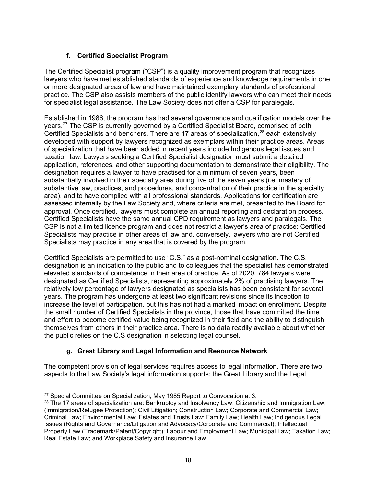### **f. Certified Specialist Program**

The Certified Specialist program ("CSP") is a quality improvement program that recognizes lawyers who have met established standards of experience and knowledge requirements in one or more designated areas of law and have maintained exemplary standards of professional practice. The CSP also assists members of the public identify lawyers who can meet their needs for specialist legal assistance. The Law Society does not offer a CSP for paralegals.

Established in 1986, the program has had several governance and qualification models over the years. [27](#page-44-0) The CSP is currently governed by a Certified Specialist Board, comprised of both Certified Specialists and benchers. There are 17 areas of specialization, $^{28}$  $^{28}$  $^{28}$  each extensively developed with support by lawyers recognized as exemplars within their practice areas. Areas of specialization that have been added in recent years include Indigenous legal issues and taxation law. Lawyers seeking a Certified Specialist designation must submit a detailed application, references, and other supporting documentation to demonstrate their eligibility. The designation requires a lawyer to have practised for a minimum of seven years, been substantially involved in their specialty area during five of the seven years (i.e. mastery of substantive law, practices, and procedures, and concentration of their practice in the specialty area), and to have complied with all professional standards. Applications for certification are assessed internally by the Law Society and, where criteria are met, presented to the Board for approval. Once certified, lawyers must complete an annual reporting and declaration process. Certified Specialists have the same annual CPD requirement as lawyers and paralegals. The CSP is not a limited licence program and does not restrict a lawyer's area of practice: Certified Specialists may practice in other areas of law and, conversely, lawyers who are not Certified Specialists may practice in any area that is covered by the program.

Certified Specialists are permitted to use "C.S." as a post-nominal designation. The C.S. designation is an indication to the public and to colleagues that the specialist has demonstrated elevated standards of competence in their area of practice. As of 2020, 784 lawyers were designated as Certified Specialists, representing approximately 2% of practising lawyers. The relatively low percentage of lawyers designated as specialists has been consistent for several years. The program has undergone at least two significant revisions since its inception to increase the level of participation, but this has not had a marked impact on enrollment. Despite the small number of Certified Specialists in the province, those that have committed the time and effort to become certified value being recognized in their field and the ability to distinguish themselves from others in their practice area. There is no data readily available about whether the public relies on the C.S designation in selecting legal counsel.

### **g. Great Library and Legal Information and Resource Network**

The competent provision of legal services requires access to legal information. There are two aspects to the Law Society's legal information supports: the Great Library and the Legal

<span id="page-44-1"></span><span id="page-44-0"></span><sup>&</sup>lt;sup>27</sup> Special Committee on Specialization, May 1985 Report to Convocation at 3.<br><sup>28</sup> The 17 areas of specialization are: Bankruptcy and Insolvency Law; Citizenship and Immigration Law; (Immigration/Refugee Protection); Civil Litigation; Construction Law; Corporate and Commercial Law; Criminal Law; Environmental Law; Estates and Trusts Law; Family Law; Health Law; Indigenous Legal Issues (Rights and Governance/Litigation and Advocacy/Corporate and Commercial); Intellectual Property Law (Trademark/Patent/Copyright); Labour and Employment Law; Municipal Law; Taxation Law; Real Estate Law; and Workplace Safety and Insurance Law.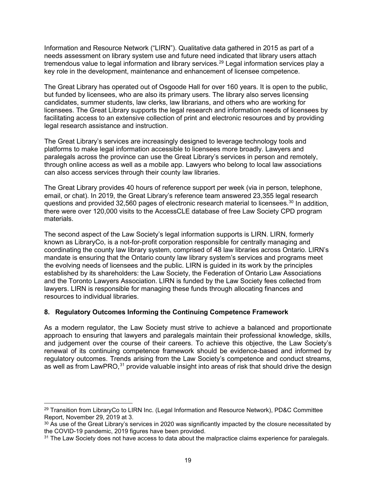Information and Resource Network ("LIRN"). Qualitative data gathered in 2015 as part of a needs assessment on library system use and future need indicated that library users attach tremendous value to legal information and library services.<sup>[29](#page-45-0)</sup> Legal information services play a key role in the development, maintenance and enhancement of licensee competence.

The Great Library has operated out of Osgoode Hall for over 160 years. It is open to the public, but funded by licensees, who are also its primary users. The library also serves licensing candidates, summer students, law clerks, law librarians, and others who are working for licensees. The Great Library supports the legal research and information needs of licensees by facilitating access to an extensive collection of print and electronic resources and by providing legal research assistance and instruction.

The Great Library's services are increasingly designed to leverage technology tools and platforms to make legal information accessible to licensees more broadly. Lawyers and paralegals across the province can use the Great Library's services in person and remotely, through online access as well as a mobile app. Lawyers who belong to local law associations can also access services through their county law libraries.

The Great Library provides 40 hours of reference support per week (via in person, telephone, email, or chat). In 2019, the Great Library's reference team answered 23,355 legal research questions and provided 32,560 pages of electronic research material to licensees.[30](#page-45-1) In addition, there were over 120,000 visits to the AccessCLE database of free Law Society CPD program materials.

The second aspect of the Law Society's legal information supports is LIRN. LIRN, formerly known as LibraryCo, is a not-for-profit corporation responsible for centrally managing and coordinating the county law library system, comprised of 48 law libraries across Ontario. LIRN's mandate is ensuring that the Ontario county law library system's services and programs meet the evolving needs of licensees and the public. LIRN is guided in its work by the principles established by its shareholders: the Law Society, the Federation of Ontario Law Associations and the Toronto Lawyers Association. LIRN is funded by the Law Society fees collected from lawyers. LIRN is responsible for managing these funds through allocating finances and resources to individual libraries.

### **8. Regulatory Outcomes Informing the Continuing Competence Framework**

As a modern regulator, the Law Society must strive to achieve a balanced and proportionate approach to ensuring that lawyers and paralegals maintain their professional knowledge, skills, and judgement over the course of their careers. To achieve this objective, the Law Society's renewal of its continuing competence framework should be evidence-based and informed by regulatory outcomes. Trends arising from the Law Society's competence and conduct streams, as well as from LawPRO,<sup>[31](#page-45-2)</sup> provide valuable insight into areas of risk that should drive the design

<span id="page-45-0"></span> $^{29}$  Transition from LibraryCo to LIRN Inc. (Legal Information and Resource Network), PD&C Committee Report, November 29, 2019 at 3.

<span id="page-45-1"></span> $30$  As use of the Great Library's services in 2020 was significantly impacted by the closure necessitated by the COVID-19 pandemic, 2019 figures have been provided.

<span id="page-45-2"></span><sup>&</sup>lt;sup>31</sup> The Law Society does not have access to data about the malpractice claims experience for paralegals.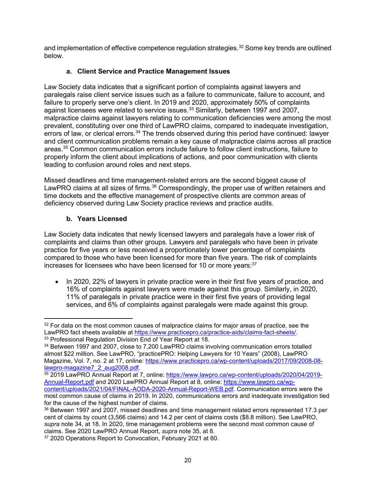and implementation of effective competence regulation strategies. [32](#page-46-0) Some key trends are outlined below.

### **a. Client Service and Practice Management Issues**

Law Society data indicates that a significant portion of complaints against lawyers and paralegals raise client service issues such as a failure to communicate, failure to account, and failure to properly serve one's client. In 2019 and 2020, approximately 50% of complaints against licensees were related to service issues.[33](#page-46-1) Similarly, between 1997 and 2007, malpractice claims against lawyers relating to communication deficiencies were among the most prevalent, constituting over one third of LawPRO claims, compared to inadequate investigation, errors of law, or clerical errors.<sup>34</sup> The trends observed during this period have continued: lawyer and client communication problems remain a key cause of malpractice claims across all practice areas.[35](#page-46-3) Common communication errors include failure to follow client instructions, failure to properly inform the client about implications of actions, and poor communication with clients leading to confusion around roles and next steps.

Missed deadlines and time management-related errors are the second biggest cause of LawPRO claims at all sizes of firms.<sup>[36](#page-46-4)</sup> Correspondingly, the proper use of written retainers and time dockets and the effective management of prospective clients are common areas of deficiency observed during Law Society practice reviews and practice audits.

### **b. Years Licensed**

Law Society data indicates that newly licensed lawyers and paralegals have a lower risk of complaints and claims than other groups. Lawyers and paralegals who have been in private practice for five years or less received a proportionately lower percentage of complaints compared to those who have been licensed for more than five years. The risk of complaints increases for licensees who have been licensed for 10 or more years: $^{\rm 37}$  $^{\rm 37}$  $^{\rm 37}$ 

• In 2020, 22% of lawyers in private practice were in their first five years of practice, and 16% of complaints against lawyers were made against this group. Similarly, in 2020, 11% of paralegals in private practice were in their first five years of providing legal services, and 6% of complaints against paralegals were made against this group.

<span id="page-46-0"></span> $32$  For data on the most common causes of malpractice claims for maior areas of practice, see the LawPRO fact sheets available at [https://www.practicepro.ca/practice-aids/claims-fact-sheets/.](https://www.practicepro.ca/practice-aids/claims-fact-sheets/)<br><sup>33</sup> Professional Regulation Division End of Year Report at 18.

<span id="page-46-2"></span><span id="page-46-1"></span><sup>34</sup> Between 1997 and 2007, close to 7,200 LawPRO claims involving communication errors totalled almost \$22 million. See LawPRO, "practicePRO: Helping Lawyers for 10 Years" (2008), LawPRO Magazine, Vol. 7, no. 2 at 17, online: [https://www.practicepro.ca/wp-content/uploads/2017/09/2008-08-](https://www.practicepro.ca/wp-content/uploads/2017/09/2008-08-lawpro-magazine7_2_aug2008.pdf)<br>lawpro-magazine7 2 aug2008.pdf.

<span id="page-46-3"></span><sup>&</sup>lt;sup>35</sup> 2019 LawPRO Annual Report at 7, online: [https://www.lawpro.ca/wp-content/uploads/2020/04/2019-](https://www.lawpro.ca/wp-content/uploads/2020/04/2019-Annual-Report.pdf) [Annual-Report.pdf](https://www.lawpro.ca/wp-content/uploads/2020/04/2019-Annual-Report.pdf) and 2020 LawPRO Annual Report at 8, online: [https://www.lawpro.ca/wp](https://www.lawpro.ca/wp-content/uploads/2021/04/FINAL-AODA-2020-Annual-Report-WEB.pdf)[content/uploads/2021/04/FINAL-AODA-2020-Annual-Report-WEB.pdf.](https://www.lawpro.ca/wp-content/uploads/2021/04/FINAL-AODA-2020-Annual-Report-WEB.pdf) Communication errors were the most common cause of claims in 2019. In 2020, communications errors and inadequate investigation tied

<span id="page-46-4"></span><sup>&</sup>lt;sup>36</sup> Between 1997 and 2007, missed deadlines and time management related errors represented 17.3 per cent of claims by count (3,566 claims) and 14.2 per cent of claims costs (\$8.8 million). See LawPRO, *supra* note 34, at 18. In 2020, time management problems were the second most common cause of claims. See 2020 LawPRO Annual Report, *supra* note 35, at 8.

<span id="page-46-5"></span><sup>&</sup>lt;sup>37</sup> 2020 Operations Report to Convocation, February 2021 at 60.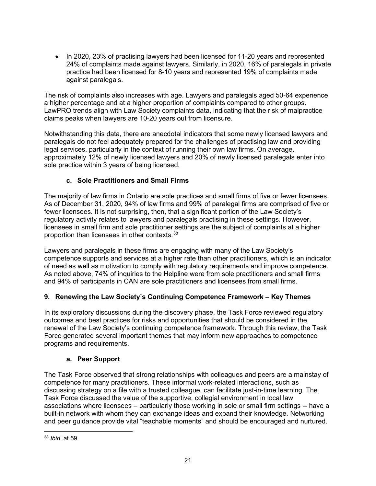• In 2020, 23% of practising lawyers had been licensed for 11-20 years and represented 24% of complaints made against lawyers. Similarly, in 2020, 16% of paralegals in private practice had been licensed for 8-10 years and represented 19% of complaints made against paralegals.

The risk of complaints also increases with age. Lawyers and paralegals aged 50-64 experience a higher percentage and at a higher proportion of complaints compared to other groups. LawPRO trends align with Law Society complaints data, indicating that the risk of malpractice claims peaks when lawyers are 10-20 years out from licensure.

Notwithstanding this data, there are anecdotal indicators that some newly licensed lawyers and paralegals do not feel adequately prepared for the challenges of practising law and providing legal services, particularly in the context of running their own law firms. On average, approximately 12% of newly licensed lawyers and 20% of newly licensed paralegals enter into sole practice within 3 years of being licensed.

### **c. Sole Practitioners and Small Firms**

The majority of law firms in Ontario are sole practices and small firms of five or fewer licensees. As of December 31, 2020, 94% of law firms and 99% of paralegal firms are comprised of five or fewer licensees. It is not surprising, then, that a significant portion of the Law Society's regulatory activity relates to lawyers and paralegals practising in these settings. However, licensees in small firm and sole practitioner settings are the subject of complaints at a higher proportion than licensees in other contexts.[38](#page-47-0)

Lawyers and paralegals in these firms are engaging with many of the Law Society's competence supports and services at a higher rate than other practitioners, which is an indicator of need as well as motivation to comply with regulatory requirements and improve competence. As noted above, 74% of inquiries to the Helpline were from sole practitioners and small firms and 94% of participants in CAN are sole practitioners and licensees from small firms.

### **9. Renewing the Law Society's Continuing Competence Framework – Key Themes**

In its exploratory discussions during the discovery phase, the Task Force reviewed regulatory outcomes and best practices for risks and opportunities that should be considered in the renewal of the Law Society's continuing competence framework. Through this review, the Task Force generated several important themes that may inform new approaches to competence programs and requirements.

### **a. Peer Support**

The Task Force observed that strong relationships with colleagues and peers are a mainstay of competence for many practitioners. These informal work-related interactions, such as discussing strategy on a file with a trusted colleague, can facilitate just-in-time learning. The Task Force discussed the value of the supportive, collegial environment in local law associations where licensees – particularly those working in sole or small firm settings -- have a built-in network with whom they can exchange ideas and expand their knowledge. Networking and peer guidance provide vital "teachable moments" and should be encouraged and nurtured.

<span id="page-47-0"></span><sup>38</sup> *Ibid.* at 59.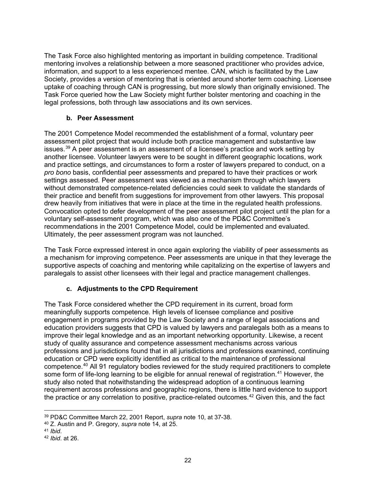The Task Force also highlighted mentoring as important in building competence. Traditional mentoring involves a relationship between a more seasoned practitioner who provides advice, information, and support to a less experienced mentee. CAN, which is facilitated by the Law Society, provides a version of mentoring that is oriented around shorter term coaching. Licensee uptake of coaching through CAN is progressing, but more slowly than originally envisioned. The Task Force queried how the Law Society might further bolster mentoring and coaching in the legal professions, both through law associations and its own services.

### **b. Peer Assessment**

The 2001 Competence Model recommended the establishment of a formal, voluntary peer assessment pilot project that would include both practice management and substantive law issues.<sup>[39](#page-48-0)</sup> A peer assessment is an assessment of a licensee's practice and work setting by another licensee. Volunteer lawyers were to be sought in different geographic locations, work and practice settings, and circumstances to form a roster of lawyers prepared to conduct, on a *pro bono* basis, confidential peer assessments and prepared to have their practices or work settings assessed. Peer assessment was viewed as a mechanism through which lawyers without demonstrated competence-related deficiencies could seek to validate the standards of their practice and benefit from suggestions for improvement from other lawyers. This proposal drew heavily from initiatives that were in place at the time in the regulated health professions. Convocation opted to defer development of the peer assessment pilot project until the plan for a voluntary self-assessment program, which was also one of the PD&C Committee's recommendations in the 2001 Competence Model, could be implemented and evaluated. Ultimately, the peer assessment program was not launched.

The Task Force expressed interest in once again exploring the viability of peer assessments as a mechanism for improving competence. Peer assessments are unique in that they leverage the supportive aspects of coaching and mentoring while capitalizing on the expertise of lawyers and paralegals to assist other licensees with their legal and practice management challenges.

### **c. Adjustments to the CPD Requirement**

The Task Force considered whether the CPD requirement in its current, broad form meaningfully supports competence. High levels of licensee compliance and positive engagement in programs provided by the Law Society and a range of legal associations and education providers suggests that CPD is valued by lawyers and paralegals both as a means to improve their legal knowledge and as an important networking opportunity. Likewise, a recent study of quality assurance and competence assessment mechanisms across various professions and jurisdictions found that in all jurisdictions and professions examined, continuing education or CPD were explicitly identified as critical to the maintenance of professional competence[.40](#page-48-1) All 91 regulatory bodies reviewed for the study required practitioners to complete some form of life-long learning to be eligible for annual renewal of registration.<sup>[41](#page-48-2)</sup> However, the study also noted that notwithstanding the widespread adoption of a continuous learning requirement across professions and geographic regions, there is little hard evidence to support the practice or any correlation to positive, practice-related outcomes. [42](#page-48-3) Given this, and the fact

<span id="page-48-0"></span><sup>39</sup> PD&C Committee March 22, 2001 Report, *supra* note 10, at 37-38.

<span id="page-48-1"></span><sup>40</sup> Z. Austin and P. Gregory, *supra* note 14, at 25. 41 *Ibid*. 42 *Ibid*. at 26.

<span id="page-48-2"></span>

<span id="page-48-3"></span>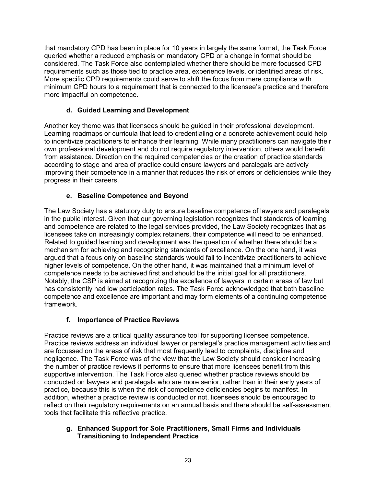that mandatory CPD has been in place for 10 years in largely the same format, the Task Force queried whether a reduced emphasis on mandatory CPD or a change in format should be considered. The Task Force also contemplated whether there should be more focussed CPD requirements such as those tied to practice area, experience levels, or identified areas of risk. More specific CPD requirements could serve to shift the focus from mere compliance with minimum CPD hours to a requirement that is connected to the licensee's practice and therefore more impactful on competence.

### **d. Guided Learning and Development**

Another key theme was that licensees should be guided in their professional development. Learning roadmaps or curricula that lead to credentialing or a concrete achievement could help to incentivize practitioners to enhance their learning. While many practitioners can navigate their own professional development and do not require regulatory intervention, others would benefit from assistance. Direction on the required competencies or the creation of practice standards according to stage and area of practice could ensure lawyers and paralegals are actively improving their competence in a manner that reduces the risk of errors or deficiencies while they progress in their careers.

### **e. Baseline Competence and Beyond**

The Law Society has a statutory duty to ensure baseline competence of lawyers and paralegals in the public interest. Given that our governing legislation recognizes that standards of learning and competence are related to the legal services provided, the Law Society recognizes that as licensees take on increasingly complex retainers, their competence will need to be enhanced. Related to guided learning and development was the question of whether there should be a mechanism for achieving and recognizing standards of excellence. On the one hand, it was argued that a focus only on baseline standards would fail to incentivize practitioners to achieve higher levels of competence. On the other hand, it was maintained that a minimum level of competence needs to be achieved first and should be the initial goal for all practitioners. Notably, the CSP is aimed at recognizing the excellence of lawyers in certain areas of law but has consistently had low participation rates. The Task Force acknowledged that both baseline competence and excellence are important and may form elements of a continuing competence framework.

### **f. Importance of Practice Reviews**

Practice reviews are a critical quality assurance tool for supporting licensee competence. Practice reviews address an individual lawyer or paralegal's practice management activities and are focussed on the areas of risk that most frequently lead to complaints, discipline and negligence. The Task Force was of the view that the Law Society should consider increasing the number of practice reviews it performs to ensure that more licensees benefit from this supportive intervention. The Task Force also queried whether practice reviews should be conducted on lawyers and paralegals who are more senior, rather than in their early years of practice, because this is when the risk of competence deficiencies begins to manifest. In addition, whether a practice review is conducted or not, licensees should be encouraged to reflect on their regulatory requirements on an annual basis and there should be self-assessment tools that facilitate this reflective practice.

### **g. Enhanced Support for Sole Practitioners, Small Firms and Individuals Transitioning to Independent Practice**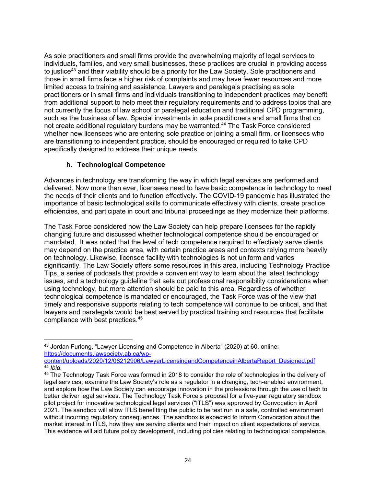As sole practitioners and small firms provide the overwhelming majority of legal services to individuals, families, and very small businesses, these practices are crucial in providing access to justice<sup>43</sup> and their viability should be a priority for the Law Society. Sole practitioners and those in small firms face a higher risk of complaints and may have fewer resources and more limited access to training and assistance. Lawyers and paralegals practising as sole practitioners or in small firms and individuals transitioning to independent practices may benefit from additional support to help meet their regulatory requirements and to address topics that are not currently the focus of law school or paralegal education and traditional CPD programming, such as the business of law. Special investments in sole practitioners and small firms that do not create additional regulatory burdens may be warranted. [44](#page-50-1) The Task Force considered whether new licensees who are entering sole practice or joining a small firm, or licensees who are transitioning to independent practice, should be encouraged or required to take CPD specifically designed to address their unique needs.

### **h. Technological Competence**

Advances in technology are transforming the way in which legal services are performed and delivered. Now more than ever, licensees need to have basic competence in technology to meet the needs of their clients and to function effectively. The COVID-19 pandemic has illustrated the importance of basic technological skills to communicate effectively with clients, create practice efficiencies, and participate in court and tribunal proceedings as they modernize their platforms.

The Task Force considered how the Law Society can help prepare licensees for the rapidly changing future and discussed whether technological competence should be encouraged or mandated. It was noted that the level of tech competence required to effectively serve clients may depend on the practice area, with certain practice areas and contexts relying more heavily on technology. Likewise, licensee facility with technologies is not uniform and varies significantly. The Law Society offers some resources in this area, including Technology Practice Tips, a series of podcasts that provide a convenient way to learn about the latest technology issues, and a technology guideline that sets out professional responsibility considerations when using technology, but more attention should be paid to this area. Regardless of whether technological competence is mandated or encouraged, the Task Force was of the view that timely and responsive supports relating to tech competence will continue to be critical, and that lawyers and paralegals would be best served by practical training and resources that facilitate compliance with best practices. [45](#page-50-2)

<span id="page-50-0"></span><sup>43</sup> Jordan Furlong, "Lawyer Licensing and Competence in Alberta" (2020) at 60, online: [https://documents.lawsociety.ab.ca/wp-](https://documents.lawsociety.ab.ca/wp-content/uploads/2020/12/08212906/LawyerLicensingandCompetenceinAlbertaReport_Designed.pdf)

[content/uploads/2020/12/08212906/LawyerLicensingandCompetenceinAlbertaReport\\_Designed.pdf](https://documents.lawsociety.ab.ca/wp-content/uploads/2020/12/08212906/LawyerLicensingandCompetenceinAlbertaReport_Designed.pdf) 44 *Ibid.*

<span id="page-50-2"></span><span id="page-50-1"></span><sup>45</sup> The Technology Task Force was formed in 2018 to consider the role of technologies in the delivery of legal services, examine the Law Society's role as a regulator in a changing, tech-enabled environment, and explore how the Law Society can encourage innovation in the professions through the use of tech to better deliver legal services. The Technology Task Force's proposal for a five-year regulatory sandbox pilot project for innovative technological legal services ("ITLS") was approved by Convocation in April 2021. The sandbox will allow ITLS benefitting the public to be test run in a safe, controlled environment without incurring regulatory consequences. The sandbox is expected to inform Convocation about the market interest in ITLS, how they are serving clients and their impact on client expectations of service. This evidence will aid future policy development, including policies relating to technological competence.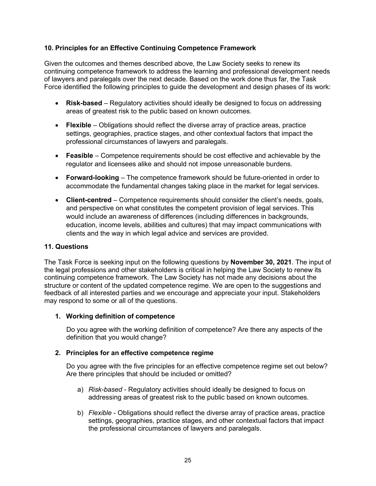### **10. Principles for an Effective Continuing Competence Framework**

Given the outcomes and themes described above, the Law Society seeks to renew its continuing competence framework to address the learning and professional development needs of lawyers and paralegals over the next decade. Based on the work done thus far, the Task Force identified the following principles to guide the development and design phases of its work:

- **Risk-based** Regulatory activities should ideally be designed to focus on addressing areas of greatest risk to the public based on known outcomes.
- **Flexible** Obligations should reflect the diverse array of practice areas, practice settings, geographies, practice stages, and other contextual factors that impact the professional circumstances of lawyers and paralegals.
- **Feasible** Competence requirements should be cost effective and achievable by the regulator and licensees alike and should not impose unreasonable burdens.
- **Forward-looking** The competence framework should be future-oriented in order to accommodate the fundamental changes taking place in the market for legal services.
- **Client-centred** Competence requirements should consider the client's needs, goals, and perspective on what constitutes the competent provision of legal services. This would include an awareness of differences (including differences in backgrounds, education, income levels, abilities and cultures) that may impact communications with clients and the way in which legal advice and services are provided.

#### **11. Questions**

The Task Force is seeking input on the following questions by **November 30, 2021**. The input of the legal professions and other stakeholders is critical in helping the Law Society to renew its continuing competence framework. The Law Society has not made any decisions about the structure or content of the updated competence regime. We are open to the suggestions and feedback of all interested parties and we encourage and appreciate your input. Stakeholders may respond to some or all of the questions.

#### **1. Working definition of competence**

Do you agree with the working definition of competence? Are there any aspects of the definition that you would change?

#### **2. Principles for an effective competence regime**

Do you agree with the five principles for an effective competence regime set out below? Are there principles that should be included or omitted?

- a) *Risk-based*  Regulatory activities should ideally be designed to focus on addressing areas of greatest risk to the public based on known outcomes.
- b) *Flexible* Obligations should reflect the diverse array of practice areas, practice settings, geographies, practice stages, and other contextual factors that impact the professional circumstances of lawyers and paralegals.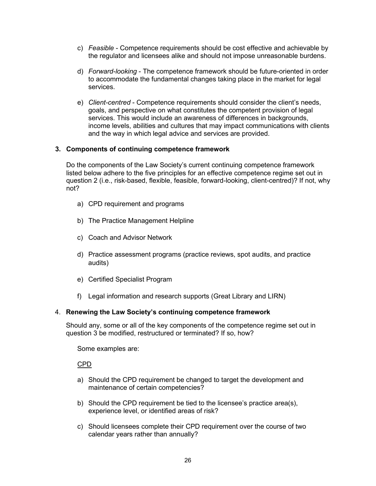- c) *Feasible* Competence requirements should be cost effective and achievable by the regulator and licensees alike and should not impose unreasonable burdens.
- d) *Forward-looking* The competence framework should be future-oriented in order to accommodate the fundamental changes taking place in the market for legal services.
- e) *Client-centred* Competence requirements should consider the client's needs, goals, and perspective on what constitutes the competent provision of legal services. This would include an awareness of differences in backgrounds, income levels, abilities and cultures that may impact communications with clients and the way in which legal advice and services are provided.

#### **3. Components of continuing competence framework**

Do the components of the Law Society's current continuing competence framework listed below adhere to the five principles for an effective competence regime set out in question 2 (i.e., risk-based, flexible, feasible, forward-looking, client-centred)? If not, why not?

- a) CPD requirement and programs
- b) The Practice Management Helpline
- c) Coach and Advisor Network
- d) Practice assessment programs (practice reviews, spot audits, and practice audits)
- e) Certified Specialist Program
- f) Legal information and research supports (Great Library and LIRN)

#### 4. **Renewing the Law Society's continuing competence framework**

Should any, some or all of the key components of the competence regime set out in question 3 be modified, restructured or terminated? If so, how?

Some examples are:

CPD

- a) Should the CPD requirement be changed to target the development and maintenance of certain competencies?
- b) Should the CPD requirement be tied to the licensee's practice area(s), experience level, or identified areas of risk?
- c) Should licensees complete their CPD requirement over the course of two calendar years rather than annually?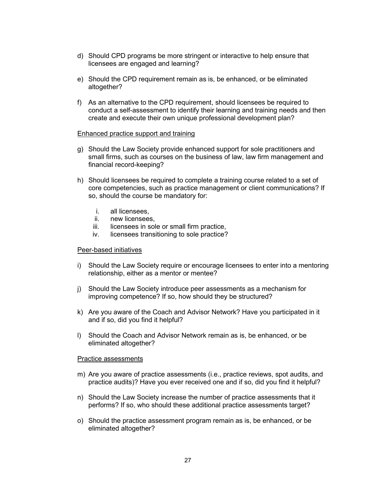- d) Should CPD programs be more stringent or interactive to help ensure that licensees are engaged and learning?
- e) Should the CPD requirement remain as is, be enhanced, or be eliminated altogether?
- f) As an alternative to the CPD requirement, should licensees be required to conduct a self-assessment to identify their learning and training needs and then create and execute their own unique professional development plan?

#### Enhanced practice support and training

- g) Should the Law Society provide enhanced support for sole practitioners and small firms, such as courses on the business of law, law firm management and financial record-keeping?
- h) Should licensees be required to complete a training course related to a set of core competencies, such as practice management or client communications? If so, should the course be mandatory for:
	- i. all licensees,
	- ii. new licensees,
	- iii. licensees in sole or small firm practice,
	- iv. licensees transitioning to sole practice?

#### Peer-based initiatives

- i) Should the Law Society require or encourage licensees to enter into a mentoring relationship, either as a mentor or mentee?
- j) Should the Law Society introduce peer assessments as a mechanism for improving competence? If so, how should they be structured?
- k) Are you aware of the Coach and Advisor Network? Have you participated in it and if so, did you find it helpful?
- l) Should the Coach and Advisor Network remain as is, be enhanced, or be eliminated altogether?

#### Practice assessments

- m) Are you aware of practice assessments (i.e., practice reviews, spot audits, and practice audits)? Have you ever received one and if so, did you find it helpful?
- n) Should the Law Society increase the number of practice assessments that it performs? If so, who should these additional practice assessments target?
- o) Should the practice assessment program remain as is, be enhanced, or be eliminated altogether?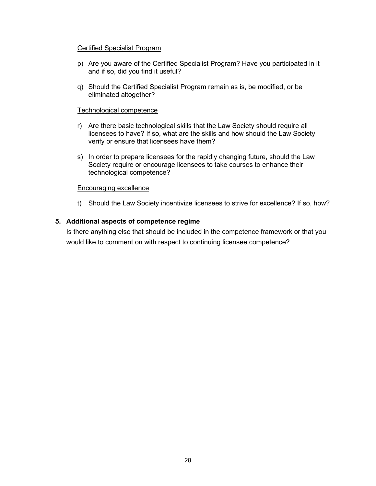#### Certified Specialist Program

- p) Are you aware of the Certified Specialist Program? Have you participated in it and if so, did you find it useful?
- q) Should the Certified Specialist Program remain as is, be modified, or be eliminated altogether?

#### Technological competence

- r) Are there basic technological skills that the Law Society should require all licensees to have? If so, what are the skills and how should the Law Society verify or ensure that licensees have them?
- s) In order to prepare licensees for the rapidly changing future, should the Law Society require or encourage licensees to take courses to enhance their technological competence?

#### Encouraging excellence

t) Should the Law Society incentivize licensees to strive for excellence? If so, how?

#### **5. Additional aspects of competence regime**

Is there anything else that should be included in the competence framework or that you would like to comment on with respect to continuing licensee competence?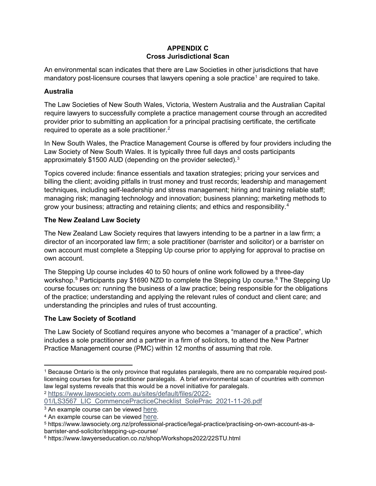### **APPENDIX C Cross Jurisdictional Scan**

An environmental scan indicates that there are Law Societies in other jurisdictions that have mandatory post-licensure courses that lawyers opening a sole practice<sup>1</sup> are required to take.

### **Australia**

The Law Societies of New South Wales, Victoria, Western Australia and the Australian Capital require lawyers to successfully complete a practice management course through an accredited provider prior to submitting an application for a principal practising certificate, the certificate required to operate as a sole practitioner.<sup>[2](#page-55-1)</sup>

In New South Wales, the Practice Management Course is offered by four providers including the Law Society of New South Wales. It is typically three full days and costs participants approximately \$1500 AUD (depending on the provider selected).[3](#page-55-2)

Topics covered include: finance essentials and taxation strategies; pricing your services and billing the client; avoiding pitfalls in trust money and trust records; leadership and management techniques, including self-leadership and stress management; hiring and training reliable staff; managing risk; managing technology and innovation; business planning; marketing methods to grow your business; attracting and retaining clients; and ethics and responsibility.[4](#page-55-3)

### **The New Zealand Law Society**

The New Zealand Law Society requires that lawyers intending to be a partner in a law firm; a director of an incorporated law firm; a sole practitioner (barrister and solicitor) or a barrister on own account must complete a Stepping Up course prior to applying for approval to practise on own account.

The Stepping Up course includes 40 to 50 hours of online work followed by a three-day workshop.<sup>[5](#page-55-4)</sup> Participants pay \$1[6](#page-55-5)90 NZD to complete the Stepping Up course.<sup>6</sup> The Stepping Up course focuses on: running the business of a law practice; being responsible for the obligations of the practice; understanding and applying the relevant rules of conduct and client care; and understanding the principles and rules of trust accounting.

### **The Law Society of Scotland**

The Law Society of Scotland requires anyone who becomes a "manager of a practice", which includes a sole practitioner and a partner in a firm of solicitors, to attend the New Partner Practice Management course (PMC) within 12 months of assuming that role.

<span id="page-55-1"></span>01/LS3567 LIC CommencePracticeChecklist SolePrac 2021-11-26.pdf

<span id="page-55-0"></span><sup>&</sup>lt;sup>1</sup> Because Ontario is the only province that regulates paralegals, there are no comparable required postlicensing courses for sole practitioner paralegals. A brief environmental scan of countries with common law legal systems reveals that this would be a novel initiative for paralegals. <sup>2</sup> [https://www.lawsociety.com.au/sites/default/files/2022-](https://www.lawsociety.com.au/sites/default/files/2022-01/LS3567_LIC_CommencePracticeChecklist_SolePrac_2021-11-26.pdf)

<span id="page-55-2"></span><sup>&</sup>lt;sup>3</sup> An example course can be viewed [here.](https://www.lawinform.com.au/blocks/androgogic_catalogue/index.php?q=practice%20management%20course&_ga=2.190463663.509127553.1616379978-1137432213.1581565231)

<span id="page-55-3"></span><sup>4</sup> An example course can be viewed [here.](https://www.lawinform.com.au/blocks/androgogic_catalogue/index.php?q=practice%20management%20course&_ga=2.190463663.509127553.1616379978-1137432213.1581565231)

<span id="page-55-4"></span><sup>5</sup> https://www.lawsociety.org.nz/professional-practice/legal-practice/practising-on-own-account-as-abarrister-and-solicitor/stepping-up-course/

<span id="page-55-5"></span><sup>6</sup> https://www.lawyerseducation.co.nz/shop/Workshops2022/22STU.html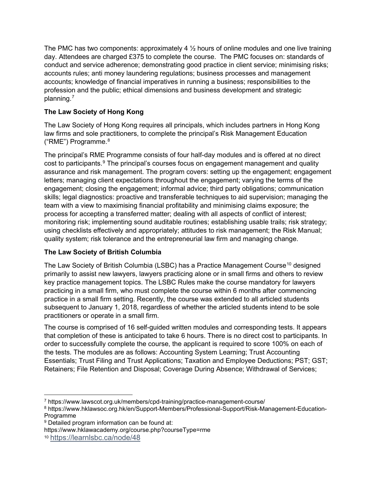The PMC has two components: approximately 4  $\frac{1}{2}$  hours of online modules and one live training day. Attendees are charged £375 to complete the course. The PMC focuses on: standards of conduct and service adherence; demonstrating good practice in client service; minimising risks; accounts rules; anti money laundering regulations; business processes and management accounts; knowledge of financial imperatives in running a business; responsibilities to the profession and the public; ethical dimensions and business development and strategic planning.[7](#page-56-0)

### **The Law Society of Hong Kong**

The Law Society of Hong Kong requires all principals, which includes partners in Hong Kong law firms and sole practitioners, to complete the principal's Risk Management Education ("RME") Programme.[8](#page-56-1)

The principal's RME Programme consists of four half-day modules and is offered at no direct cost to participants.<sup>[9](#page-56-2)</sup> The principal's courses focus on engagement management and quality assurance and risk management. The program covers: setting up the engagement; engagement letters; managing client expectations throughout the engagement; varying the terms of the engagement; closing the engagement; informal advice; third party obligations; communication skills; legal diagnostics: proactive and transferable techniques to aid supervision; managing the team with a view to maximising financial profitability and minimising claims exposure; the process for accepting a transferred matter; dealing with all aspects of conflict of interest; monitoring risk; implementing sound auditable routines; establishing usable trails; risk strategy; using checklists effectively and appropriately; attitudes to risk management; the Risk Manual; quality system; risk tolerance and the entrepreneurial law firm and managing change.

### **The Law Society of British Columbia**

The Law Society of British Columbia (LSBC) has a Practice Management Course<sup>[10](#page-56-3)</sup> designed primarily to assist new lawyers, lawyers practicing alone or in small firms and others to review key practice management topics. The LSBC Rules make the course mandatory for lawyers practicing in a small firm, who must complete the course within 6 months after commencing practice in a small firm setting. Recently, the course was extended to all articled students subsequent to January 1, 2018, regardless of whether the articled students intend to be sole practitioners or operate in a small firm.

The course is comprised of 16 self-guided written modules and corresponding tests. It appears that completion of these is anticipated to take 6 hours. There is no direct cost to participants. In order to successfully complete the course, the applicant is required to score 100% on each of the tests. The modules are as follows: Accounting System Learning; Trust Accounting Essentials; Trust Filing and Trust Applications; Taxation and Employee Deductions; PST; GST; Retainers; File Retention and Disposal; Coverage During Absence; Withdrawal of Services;

<span id="page-56-0"></span><sup>7</sup> https://www.lawscot.org.uk/members/cpd-training/practice-management-course/

<span id="page-56-1"></span><sup>8</sup> https://www.hklawsoc.org.hk/en/Support-Members/Professional-Support/Risk-Management-Education-Programme

<span id="page-56-2"></span><sup>&</sup>lt;sup>9</sup> Detailed program information can be found at:

https://www.hklawacademy.org/course.php?courseType=rme

<span id="page-56-3"></span><sup>10</sup> <https://learnlsbc.ca/node/48>